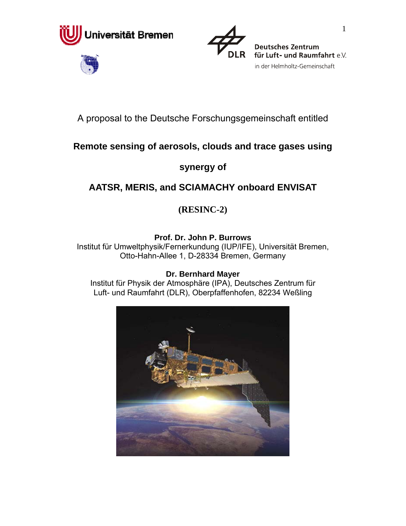





in der Helmholtz-Gemeinschaft

# A proposal to the Deutsche Forschungsgemeinschaft entitled

# **Remote sensing of aerosols, clouds and trace gases using**

# **synergy of**

# **AATSR, MERIS, and SCIAMACHY onboard ENVISAT**

# **(RESINC-2)**

# **Prof. Dr. John P. Burrows**

Institut für Umweltphysik/Fernerkundung (IUP/IFE), Universität Bremen, Otto-Hahn-Allee 1, D-28334 Bremen, Germany

### **Dr. Bernhard Mayer**

Institut für Physik der Atmosphäre (IPA), Deutsches Zentrum für Luft- und Raumfahrt (DLR), Oberpfaffenhofen, 82234 Weßling

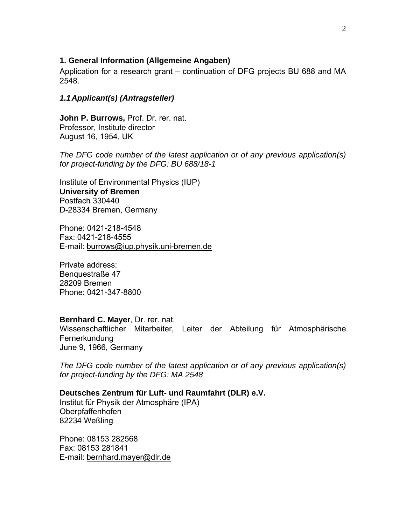#### **1. General Information (Allgemeine Angaben)**

Application for a research grant – continuation of DFG projects BU 688 and MA 2548.

#### *1.1Applicant(s) (Antragsteller)*

**John P. Burrows,** Prof. Dr. rer. nat. Professor, Institute director August 16, 1954, UK

*The DFG code number of the latest application or of any previous application(s) for project-funding by the DFG: BU 688/18-1*

Institute of Environmental Physics (IUP) **University of Bremen**  Postfach 330440 D-28334 Bremen, Germany

Phone: 0421-218-4548 Fax: 0421-218-4555 E-mail: [burrows@iup.physik.uni-bremen.de](mailto:burrows@iup.physik.uni-bremen.de#_Hlk8760388)

Private address: Benquestraße 47 28209 Bremen Phone: 0421-347-8800

#### **Bernhard C. Mayer**, Dr. rer. nat.

Wissenschaftlicher Mitarbeiter, Leiter der Abteilung für Atmosphärische Fernerkundung June 9, 1966, Germany

*The DFG code number of the latest application or of any previous application(s) for project-funding by the DFG: MA 2548*

#### **Deutsches Zentrum für Luft- und Raumfahrt (DLR) e.V.**

Institut für Physik der Atmosphäre (IPA) Oberpfaffenhofen 82234 Weßling

Phone: 08153 282568 Fax: 08153 281841 E-mail: [bernhard.mayer@dlr.de](mailto:bernhard.mayer@dlr.de)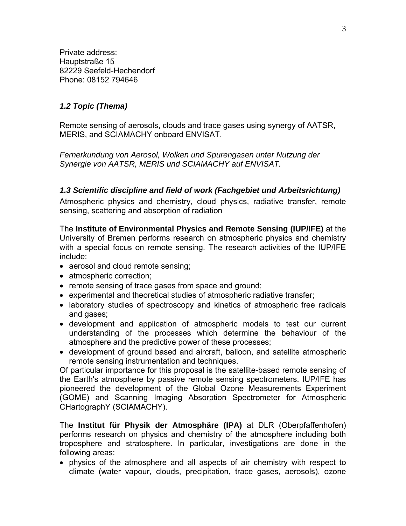Private address: Hauptstraße 15 82229 Seefeld-Hechendorf Phone: 08152 794646

#### *1.2 Topic (Thema)*

Remote sensing of aerosols, clouds and trace gases using synergy of AATSR, MERIS, and SCIAMACHY onboard ENVISAT.

*Fernerkundung von Aerosol, Wolken und Spurengasen unter Nutzung der Synergie von AATSR, MERIS und SCIAMACHY auf ENVISAT.* 

#### *1.3 Scientific discipline and field of work (Fachgebiet und Arbeitsrichtung)*

Atmospheric physics and chemistry, cloud physics, radiative transfer, remote sensing, scattering and absorption of radiation

The **Institute of Environmental Physics and Remote Sensing (IUP/IFE)** at the University of Bremen performs research on atmospheric physics and chemistry with a special focus on remote sensing. The research activities of the IUP/IFE include:

- aerosol and cloud remote sensing;
- atmospheric correction;
- remote sensing of trace gases from space and ground;
- experimental and theoretical studies of atmospheric radiative transfer;
- laboratory studies of spectroscopy and kinetics of atmospheric free radicals and gases;
- development and application of atmospheric models to test our current understanding of the processes which determine the behaviour of the atmosphere and the predictive power of these processes;
- development of ground based and aircraft, balloon, and satellite atmospheric remote sensing instrumentation and techniques.

Of particular importance for this proposal is the satellite-based remote sensing of the Earth's atmosphere by passive remote sensing spectrometers. IUP/IFE has pioneered the development of the Global Ozone Measurements Experiment (GOME) and Scanning Imaging Absorption Spectrometer for Atmospheric CHartographY (SCIAMACHY).

The **Institut für Physik der Atmosphäre (IPA)** at DLR (Oberpfaffenhofen) performs research on physics and chemistry of the atmosphere including both troposphere and stratosphere. In particular, investigations are done in the following areas:

• physics of the atmosphere and all aspects of air chemistry with respect to climate (water vapour, clouds, precipitation, trace gases, aerosols), ozone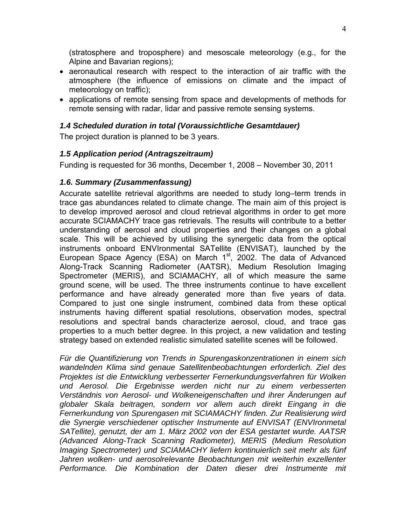(stratosphere and troposphere) and mesoscale meteorology (e.g., for the Alpine and Bavarian regions);

- aeronautical research with respect to the interaction of air traffic with the atmosphere (the influence of emissions on climate and the impact of meteorology on traffic);
- applications of remote sensing from space and developments of methods for remote sensing with radar, lidar and passive remote sensing systems.

### *1.4 Scheduled duration in total (Voraussichtliche Gesamtdauer)*

The project duration is planned to be 3 years.

### *1.5 Application period (Antragszeitraum)*

Funding is requested for 36 months, December 1, 2008 – November 30, 2011

### *1.6. Summary (Zusammenfassung)*

Accurate satellite retrieval algorithms are needed to study long–term trends in trace gas abundances related to climate change. The main aim of this project is to develop improved aerosol and cloud retrieval algorithms in order to get more accurate SCIAMACHY trace gas retrievals. The results will contribute to a better understanding of aerosol and cloud properties and their changes on a global scale. This will be achieved by utilising the synergetic data from the optical instruments onboard ENVIronmental SATellite (ENVISAT), launched by the European Space Agency (ESA) on March 1<sup>st</sup>, 2002. The data of Advanced Along-Track Scanning Radiometer (AATSR), Medium Resolution Imaging Spectrometer (MERIS), and SCIAMACHY, all of which measure the same ground scene, will be used. The three instruments continue to have excellent performance and have already generated more than five years of data. Compared to just one single instrument, combined data from these optical instruments having different spatial resolutions, observation modes, spectral resolutions and spectral bands characterize aerosol, cloud, and trace gas properties to a much better degree. In this project, a new validation and testing strategy based on extended realistic simulated satellite scenes will be followed.

*Für die Quantifizierung von Trends in Spurengaskonzentrationen in einem sich wandelnden Klima sind genaue Satellitenbeobachtungen erforderlich. Ziel des Projektes ist die Entwicklung verbesserter Fernerkundungsverfahren für Wolken und Aerosol. Die Ergebnisse werden nicht nur zu einem verbesserten Verständnis von Aerosol- und Wolkeneigenschaften und ihrer Änderungen auf globaler Skala beitragen, sondern vor allem auch direkt Eingang in die Fernerkundung von Spurengasen mit SCIAMACHY finden. Zur Realisierung wird die Synergie verschiedener optischer Instrumente auf ENVISAT (ENVIronmetal SATellite), genutzt, der am 1. März 2002 von der ESA gestartet wurde. AATSR (Advanced Along-Track Scanning Radiometer), MERIS (Medium Resolution Imaging Spectrometer) und SCIAMACHY liefern kontinuierlich seit mehr als fünf*  Jahren wolken- und aerosolrelevante Beobachtungen mit weiterhin exzellenter *Performance. Die Kombination der Daten dieser drei Instrumente mit*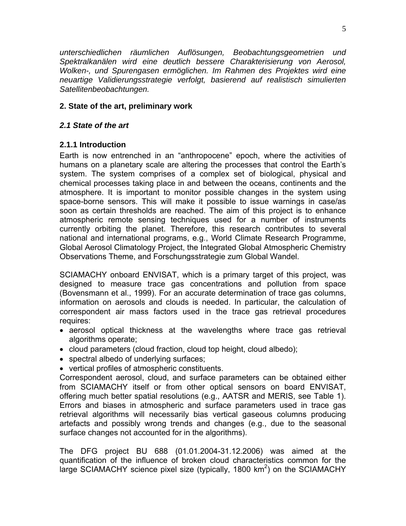*unterschiedlichen räumlichen Auflösungen, Beobachtungsgeometrien und Spektralkanälen wird eine deutlich bessere Charakterisierung von Aerosol, Wolken-, und Spurengasen ermöglichen. Im Rahmen des Projektes wird eine neuartige Validierungsstrategie verfolgt, basierend auf realistisch simulierten Satellitenbeobachtungen.* 

### **2. State of the art, preliminary work**

#### *2.1 State of the art*

#### **2.1.1 Introduction**

Earth is now entrenched in an "anthropocene" epoch, where the activities of humans on a planetary scale are altering the processes that control the Earth's system. The system comprises of a complex set of biological, physical and chemical processes taking place in and between the oceans, continents and the atmosphere. It is important to monitor possible changes in the system using space-borne sensors. This will make it possible to issue warnings in case/as soon as certain thresholds are reached. The aim of this project is to enhance atmospheric remote sensing techniques used for a number of instruments currently orbiting the planet. Therefore, this research contributes to several national and international programs, e.g., World Climate Research Programme, Global Aerosol Climatology Project, the Integrated Global Atmospheric Chemistry Observations Theme, and Forschungsstrategie zum Global Wandel.

SCIAMACHY onboard ENVISAT, which is a primary target of this project, was designed to measure trace gas concentrations and pollution from space (Bovensmann et al., 1999). For an accurate determination of trace gas columns, information on aerosols and clouds is needed. In particular, the calculation of correspondent air mass factors used in the trace gas retrieval procedures requires:

- aerosol optical thickness at the wavelengths where trace gas retrieval algorithms operate;
- cloud parameters (cloud fraction, cloud top height, cloud albedo);
- spectral albedo of underlying surfaces;
- vertical profiles of atmospheric constituents.

Correspondent aerosol, cloud, and surface parameters can be obtained either from SCIAMACHY itself or from other optical sensors on board ENVISAT, offering much better spatial resolutions (e.g., AATSR and MERIS, see Table 1). Errors and biases in atmospheric and surface parameters used in trace gas retrieval algorithms will necessarily bias vertical gaseous columns producing artefacts and possibly wrong trends and changes (e.g., due to the seasonal surface changes not accounted for in the algorithms).

The DFG project BU 688 (01.01.2004-31.12.2006) was aimed at the quantification of the influence of broken cloud characteristics common for the large SCIAMACHY science pixel size (typically, 1800  $km^2$ ) on the SCIAMACHY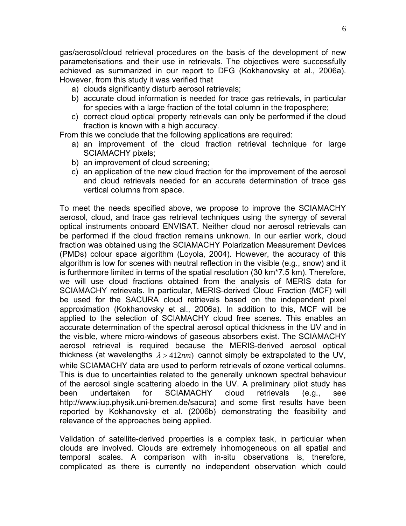gas/aerosol/cloud retrieval procedures on the basis of the development of new parameterisations and their use in retrievals. The objectives were successfully achieved as summarized in our report to DFG (Kokhanovsky et al., 2006a). However, from this study it was verified that

- a) clouds significantly disturb aerosol retrievals;
- b) accurate cloud information is needed for trace gas retrievals, in particular for species with a large fraction of the total column in the troposphere;
- c) correct cloud optical property retrievals can only be performed if the cloud fraction is known with a high accuracy.

From this we conclude that the following applications are required:

- a) an improvement of the cloud fraction retrieval technique for large SCIAMACHY pixels;
- b) an improvement of cloud screening;
- c) an application of the new cloud fraction for the improvement of the aerosol and cloud retrievals needed for an accurate determination of trace gas vertical columns from space.

To meet the needs specified above, we propose to improve the SCIAMACHY aerosol, cloud, and trace gas retrieval techniques using the synergy of several optical instruments onboard ENVISAT. Neither cloud nor aerosol retrievals can be performed if the cloud fraction remains unknown. In our earlier work, cloud fraction was obtained using the SCIAMACHY Polarization Measurement Devices (PMDs) colour space algorithm (Loyola, 2004). However, the accuracy of this algorithm is low for scenes with neutral reflection in the visible (e.g., snow) and it is furthermore limited in terms of the spatial resolution (30 km\*7.5 km). Therefore, we will use cloud fractions obtained from the analysis of MERIS data for SCIAMACHY retrievals. In particular, MERIS-derived Cloud Fraction (MCF) will be used for the SACURA cloud retrievals based on the independent pixel approximation (Kokhanovsky et al., 2006a). In addition to this, MCF will be applied to the selection of SCIAMACHY cloud free scenes. This enables an accurate determination of the spectral aerosol optical thickness in the UV and in the visible, where micro-windows of gaseous absorbers exist. The SCIAMACHY aerosol retrieval is required because the MERIS-derived aerosol optical thickness (at wavelengths  $\lambda > 412nm$ ) cannot simply be extrapolated to the UV, while SCIAMACHY data are used to perform retrievals of ozone vertical columns. This is due to uncertainties related to the generally unknown spectral behaviour of the aerosol single scattering albedo in the UV. A preliminary pilot study has been undertaken for SCIAMACHY cloud retrievals (e.g., see http:/[/www.iup.physik.uni-bremen.de/sacura\)](http://www.iup.physik.uni-bremen.de/sacura) and some first results have been reported by Kokhanovsky et al. (2006b) demonstrating the feasibility and relevance of the approaches being applied.

Validation of satellite-derived properties is a complex task, in particular when clouds are involved. Clouds are extremely inhomogeneous on all spatial and temporal scales. A comparison with in-situ observations is, therefore, complicated as there is currently no independent observation which could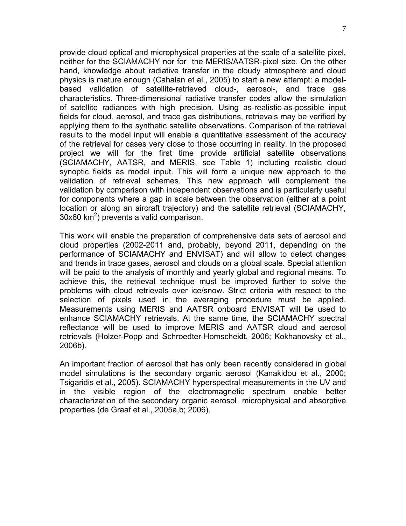provide cloud optical and microphysical properties at the scale of a satellite pixel, neither for the SCIAMACHY nor for the MERIS/AATSR-pixel size. On the other hand, knowledge about radiative transfer in the cloudy atmosphere and cloud physics is mature enough (Cahalan et al., 2005) to start a new attempt: a modelbased validation of satellite-retrieved cloud-, aerosol-, and trace gas characteristics. Three-dimensional radiative transfer codes allow the simulation of satellite radiances with high precision. Using as-realistic-as-possible input fields for cloud, aerosol, and trace gas distributions, retrievals may be verified by applying them to the synthetic satellite observations. Comparison of the retrieval results to the model input will enable a quantitative assessment of the accuracy of the retrieval for cases very close to those occurring in reality. In the proposed project we will for the first time provide artificial satellite observations (SCIAMACHY, AATSR, and MERIS, see Table 1) including realistic cloud synoptic fields as model input. This will form a unique new approach to the validation of retrieval schemes. This new approach will complement the validation by comparison with independent observations and is particularly useful for components where a gap in scale between the observation (either at a point location or along an aircraft trajectory) and the satellite retrieval (SCIAMACHY,  $30x60$  km<sup>2</sup>) prevents a valid comparison.

This work will enable the preparation of comprehensive data sets of aerosol and cloud properties (2002-2011 and, probably, beyond 2011, depending on the performance of SCIAMACHY and ENVISAT) and will allow to detect changes and trends in trace gases, aerosol and clouds on a global scale. Special attention will be paid to the analysis of monthly and yearly global and regional means. To achieve this, the retrieval technique must be improved further to solve the problems with cloud retrievals over ice/snow. Strict criteria with respect to the selection of pixels used in the averaging procedure must be applied. Measurements using MERIS and AATSR onboard ENVISAT will be used to enhance SCIAMACHY retrievals. At the same time, the SCIAMACHY spectral reflectance will be used to improve MERIS and AATSR cloud and aerosol retrievals (Holzer-Popp and Schroedter-Homscheidt, 2006; Kokhanovsky et al., 2006b).

An important fraction of aerosol that has only been recently considered in global model simulations is the secondary organic aerosol (Kanakidou et al., 2000; Tsigaridis et al., 2005). SCIAMACHY hyperspectral measurements in the UV and in the visible region of the electromagnetic spectrum enable better characterization of the secondary organic aerosol microphysical and absorptive properties (de Graaf et al., 2005a,b; 2006).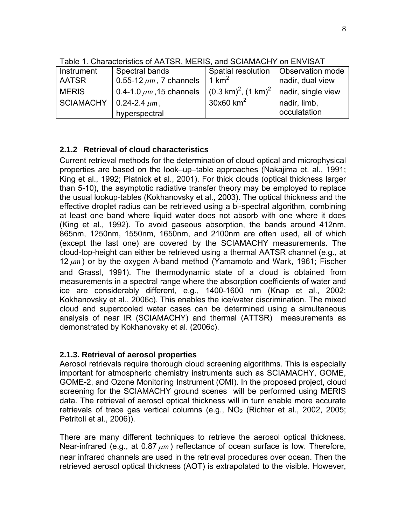| Instrument       | Spectral bands               | Spatial resolution                                             | <b>Observation mode</b> |
|------------------|------------------------------|----------------------------------------------------------------|-------------------------|
| <b>AATSR</b>     | 0.55-12 $\mu$ m, 7 channels  | 1 $km^2$                                                       | nadir, dual view        |
| <b>MERIS</b>     | 0.4-1.0 $\mu$ m, 15 channels | $(0.3 \text{ km})^2$ , $(1 \text{ km})^2$   nadir, single view |                         |
| <b>SCIAMACHY</b> | $\vert$ 0.24-2.4 $\mu$ m,    | $30x60$ km <sup>2</sup>                                        | nadir, limb,            |
|                  | hyperspectral                |                                                                | occulatation            |

Table 1. Characteristics of AATSR, MERIS, and SCIAMACHY on ENVISAT

### **2.1.2 Retrieval of cloud characteristics**

Current retrieval methods for the determination of cloud optical and microphysical properties are based on the look–up–table approaches (Nakajima et. al., 1991; King et al., 1992; Platnick et al., 2001). For thick clouds (optical thickness larger than 5-10), the asymptotic radiative transfer theory may be employed to replace the usual lookup-tables (Kokhanovsky et al., 2003). The optical thickness and the effective droplet radius can be retrieved using a bi-spectral algorithm, combining at least one band where liquid water does not absorb with one where it does (King et al., 1992). To avoid gaseous absorption, the bands around 412nm, 865nm, 1250nm, 1550nm, 1650nm, and 2100nm are often used, all of which (except the last one) are covered by the SCIAMACHY measurements. The cloud-top-height can either be retrieved using a thermal AATSR channel (e.g., at 12 <sup>μ</sup>*m* ) or by the oxygen A-band method (Yamamoto and Wark, 1961; Fischer and Grassl, 1991). The thermodynamic state of a cloud is obtained from measurements in a spectral range where the absorption coefficients of water and ice are considerably different, e.g., 1400-1600 nm (Knap et al., 2002; Kokhanovsky et al., 2006c). This enables the ice/water discrimination. The mixed cloud and supercooled water cases can be determined using a simultaneous analysis of near IR (SCIAMACHY) and thermal (ATTSR) measurements as demonstrated by Kokhanovsky et al. (2006c).

#### **2.1.3. Retrieval of aerosol properties**

Aerosol retrievals require thorough cloud screening algorithms. This is especially important for atmospheric chemistry instruments such as SCIAMACHY, GOME, GOME-2, and Ozone Monitoring Instrument (OMI). In the proposed project, cloud screening for the SCIAMACHY ground scenes will be performed using MERIS data. The retrieval of aerosol optical thickness will in turn enable more accurate retrievals of trace gas vertical columns (e.g.,  $NO<sub>2</sub>$  (Richter et al., 2002, 2005; Petritoli et al., 2006)).

There are many different techniques to retrieve the aerosol optical thickness. Near-infrared (e.g., at 0.87 <sup>μ</sup>*m* ) reflectance of ocean surface is low. Therefore, near infrared channels are used in the retrieval procedures over ocean. Then the retrieved aerosol optical thickness (AOT) is extrapolated to the visible. However,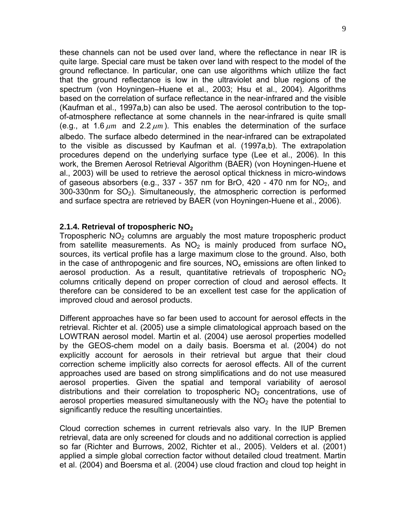these channels can not be used over land, where the reflectance in near IR is quite large. Special care must be taken over land with respect to the model of the ground reflectance. In particular, one can use algorithms which utilize the fact that the ground reflectance is low in the ultraviolet and blue regions of the spectrum (von Hoyningen–Huene et al., 2003; Hsu et al., 2004). Algorithms based on the correlation of surface reflectance in the near-infrared and the visible (Kaufman et al., 1997a,b) can also be used. The aerosol contribution to the topof-atmosphere reflectance at some channels in the near-infrared is quite small (e.g., at 1.6 <sup>μ</sup>*m* and 2.2 <sup>μ</sup>*m* ). This enables the determination of the surface albedo. The surface albedo determined in the near-infrared can be extrapolated to the visible as discussed by Kaufman et al. (1997a,b). The extrapolation procedures depend on the underlying surface type (Lee et al., 2006). In this work, the Bremen Aerosol Retrieval Algorithm (BAER) (von Hoyningen-Huene et al., 2003) will be used to retrieve the aerosol optical thickness in micro-windows of gaseous absorbers (e.g., 337 - 357 nm for BrO, 420 - 470 nm for  $NO<sub>2</sub>$ , and  $300-330$ nm for  $SO<sub>2</sub>$ ). Simultaneously, the atmospheric correction is performed and surface spectra are retrieved by BAER (von Hoyningen-Huene et al., 2006).

#### **2.1.4. Retrieval of tropospheric NO2**

Tropospheric  $NO<sub>2</sub>$  columns are arguably the most mature tropospheric product from satellite measurements. As  $NO<sub>2</sub>$  is mainly produced from surface  $NO<sub>x</sub>$ sources, its vertical profile has a large maximum close to the ground. Also, both in the case of anthropogenic and fire sources,  $NO<sub>x</sub>$  emissions are often linked to aerosol production. As a result, quantitative retrievals of tropospheric  $NO<sub>2</sub>$ columns critically depend on proper correction of cloud and aerosol effects. It therefore can be considered to be an excellent test case for the application of improved cloud and aerosol products.

Different approaches have so far been used to account for aerosol effects in the retrieval. Richter et al. (2005) use a simple climatological approach based on the LOWTRAN aerosol model. Martin et al. (2004) use aerosol properties modelled by the GEOS-chem model on a daily basis. Boersma et al. (2004) do not explicitly account for aerosols in their retrieval but argue that their cloud correction scheme implicitly also corrects for aerosol effects. All of the current approaches used are based on strong simplifications and do not use measured aerosol properties. Given the spatial and temporal variability of aerosol distributions and their correlation to tropospheric  $NO<sub>2</sub>$  concentrations, use of aerosol properties measured simultaneously with the  $NO<sub>2</sub>$  have the potential to significantly reduce the resulting uncertainties.

Cloud correction schemes in current retrievals also vary. In the IUP Bremen retrieval, data are only screened for clouds and no additional correction is applied so far (Richter and Burrows, 2002, Richter et al., 2005). Velders et al. (2001) applied a simple global correction factor without detailed cloud treatment. Martin et al. (2004) and Boersma et al. (2004) use cloud fraction and cloud top height in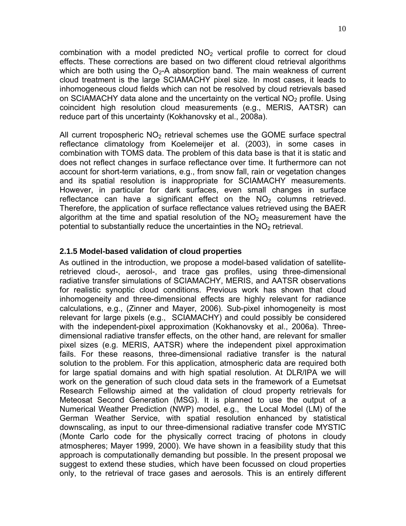combination with a model predicted  $NO<sub>2</sub>$  vertical profile to correct for cloud effects. These corrections are based on two different cloud retrieval algorithms which are both using the  $O_2$ -A absorption band. The main weakness of current cloud treatment is the large SCIAMACHY pixel size. In most cases, it leads to inhomogeneous cloud fields which can not be resolved by cloud retrievals based on SCIAMACHY data alone and the uncertainty on the vertical  $NO<sub>2</sub>$  profile. Using coincident high resolution cloud measurements (e.g., MERIS, AATSR) can reduce part of this uncertainty (Kokhanovsky et al., 2008a).

All current tropospheric  $NO<sub>2</sub>$  retrieval schemes use the GOME surface spectral reflectance climatology from Koelemeijer et al. (2003), in some cases in combination with TOMS data. The problem of this data base is that it is static and does not reflect changes in surface reflectance over time. It furthermore can not account for short-term variations, e.g., from snow fall, rain or vegetation changes and its spatial resolution is inappropriate for SCIAMACHY measurements. However, in particular for dark surfaces, even small changes in surface reflectance can have a significant effect on the  $NO<sub>2</sub>$  columns retrieved. Therefore, the application of surface reflectance values retrieved using the BAER algorithm at the time and spatial resolution of the  $NO<sub>2</sub>$  measurement have the potential to substantially reduce the uncertainties in the  $NO<sub>2</sub>$  retrieval.

### **2.1.5 Model-based validation of cloud properties**

As outlined in the introduction, we propose a model-based validation of satelliteretrieved cloud-, aerosol-, and trace gas profiles, using three-dimensional radiative transfer simulations of SCIAMACHY, MERIS, and AATSR observations for realistic synoptic cloud conditions. Previous work has shown that cloud inhomogeneity and three-dimensional effects are highly relevant for radiance calculations, e.g., (Zinner and Mayer, 2006). Sub-pixel inhomogeneity is most relevant for large pixels (e.g., SCIAMACHY) and could possibly be considered with the independent-pixel approximation (Kokhanovsky et al., 2006a). Threedimensional radiative transfer effects, on the other hand, are relevant for smaller pixel sizes (e.g. MERIS, AATSR) where the independent pixel approximation fails. For these reasons, three-dimensional radiative transfer is the natural solution to the problem. For this application, atmospheric data are required both for large spatial domains and with high spatial resolution. At DLR/IPA we will work on the generation of such cloud data sets in the framework of a Eumetsat Research Fellowship aimed at the validation of cloud property retrievals for Meteosat Second Generation (MSG). It is planned to use the output of a Numerical Weather Prediction (NWP) model, e.g., the Local Model (LM) of the German Weather Service, with spatial resolution enhanced by statistical downscaling, as input to our three-dimensional radiative transfer code MYSTIC (Monte Carlo code for the physically correct tracing of photons in cloudy atmospheres; Mayer 1999, 2000). We have shown in a feasibility study that this approach is computationally demanding but possible. In the present proposal we suggest to extend these studies, which have been focussed on cloud properties only, to the retrieval of trace gases and aerosols. This is an entirely different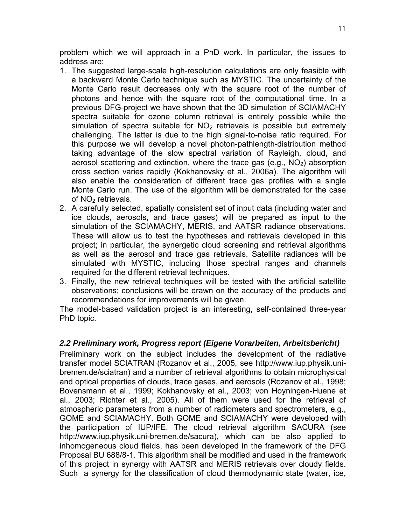problem which we will approach in a PhD work. In particular, the issues to address are:

- 1. The suggested large-scale high-resolution calculations are only feasible with a backward Monte Carlo technique such as MYSTIC. The uncertainty of the Monte Carlo result decreases only with the square root of the number of photons and hence with the square root of the computational time. In a previous DFG-project we have shown that the 3D simulation of SCIAMACHY spectra suitable for ozone column retrieval is entirely possible while the simulation of spectra suitable for  $NO<sub>2</sub>$  retrievals is possible but extremely challenging. The latter is due to the high signal-to-noise ratio required. For this purpose we will develop a novel photon-pathlength-distribution method taking advantage of the slow spectral variation of Rayleigh, cloud, and aerosol scattering and extinction, where the trace gas  $(e.g., NO<sub>2</sub>)$  absorption cross section varies rapidly (Kokhanovsky et al., 2006a). The algorithm will also enable the consideration of different trace gas profiles with a single Monte Carlo run. The use of the algorithm will be demonstrated for the case of  $NO<sub>2</sub>$  retrievals.
- 2. A carefully selected, spatially consistent set of input data (including water and ice clouds, aerosols, and trace gases) will be prepared as input to the simulation of the SCIAMACHY, MERIS, and AATSR radiance observations. These will allow us to test the hypotheses and retrievals developed in this project; in particular, the synergetic cloud screening and retrieval algorithms as well as the aerosol and trace gas retrievals. Satellite radiances will be simulated with MYSTIC, including those spectral ranges and channels required for the different retrieval techniques.
- 3. Finally, the new retrieval techniques will be tested with the artificial satellite observations; conclusions will be drawn on the accuracy of the products and recommendations for improvements will be given.

The model-based validation project is an interesting, self-contained three-year PhD topic.

### *2.2 Preliminary work, Progress report (Eigene Vorarbeiten, Arbeitsbericht)*

Preliminary work on the subject includes the development of the radiative transfer model SCIATRAN (Rozanov et al., 2005, see http://www.iup.physik.unibremen.de/sciatran) and a number of retrieval algorithms to obtain microphysical and optical properties of clouds, trace gases, and aerosols (Rozanov et al., 1998; Bovensmann et al., 1999; Kokhanovsky et al., 2003; von Hoyningen-Huene et al., 2003; Richter et al., 2005). All of them were used for the retrieval of atmospheric parameters from a number of radiometers and spectrometers, e.g., GOME and SCIAMACHY. Both GOME and SCIAMACHY were developed with the participation of IUP/IFE. The cloud retrieval algorithm SACURA (see http://www.iup.physik.uni-bremen.de/sacura), which can be also applied to inhomogeneous cloud fields, has been developed in the framework of the DFG Proposal BU 688/8-1. This algorithm shall be modified and used in the framework of this project in synergy with AATSR and MERIS retrievals over cloudy fields. Such a synergy for the classification of cloud thermodynamic state (water, ice,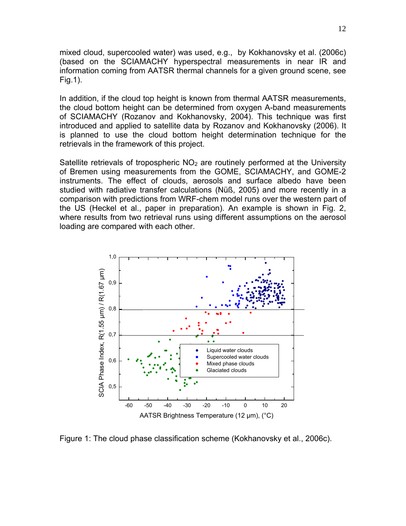mixed cloud, supercooled water) was used, e.g., by Kokhanovsky et al. (2006c) (based on the SCIAMACHY hyperspectral measurements in near IR and information coming from AATSR thermal channels for a given ground scene, see Fig.1).

In addition, if the cloud top height is known from thermal AATSR measurements, the cloud bottom height can be determined from oxygen A-band measurements of SCIAMACHY (Rozanov and Kokhanovsky, 2004). This technique was first introduced and applied to satellite data by Rozanov and Kokhanovsky (2006). It is planned to use the cloud bottom height determination technique for the retrievals in the framework of this project.

Satellite retrievals of tropospheric  $NO<sub>2</sub>$  are routinely performed at the University of Bremen using measurements from the GOME, SCIAMACHY, and GOME-2 instruments. The effect of clouds, aerosols and surface albedo have been studied with radiative transfer calculations (Nüß, 2005) and more recently in a comparison with predictions from WRF-chem model runs over the western part of the US (Heckel et al., paper in preparation). An example is shown in Fig. 2, where results from two retrieval runs using different assumptions on the aerosol loading are compared with each other.



Figure 1: The cloud phase classification scheme (Kokhanovsky et al., 2006c).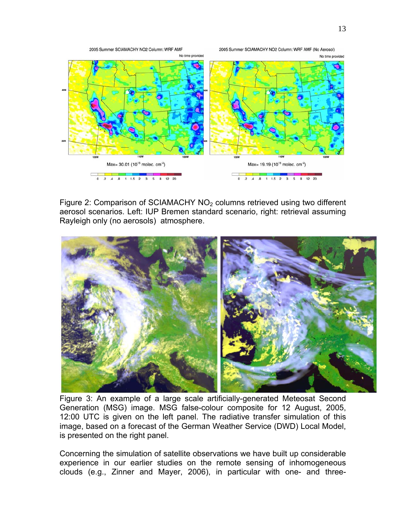

Figure 2: Comparison of SCIAMACHY NO<sub>2</sub> columns retrieved using two different aerosol scenarios. Left: IUP Bremen standard scenario, right: retrieval assuming Rayleigh only (no aerosols) atmosphere.



Figure 3: An example of a large scale artificially-generated Meteosat Second Generation (MSG) image. MSG false-colour composite for 12 August, 2005, 12:00 UTC is given on the left panel. The radiative transfer simulation of this image, based on a forecast of the German Weather Service (DWD) Local Model, is presented on the right panel.

Concerning the simulation of satellite observations we have built up considerable experience in our earlier studies on the remote sensing of inhomogeneous clouds (e.g., Zinner and Mayer, 2006), in particular with one- and three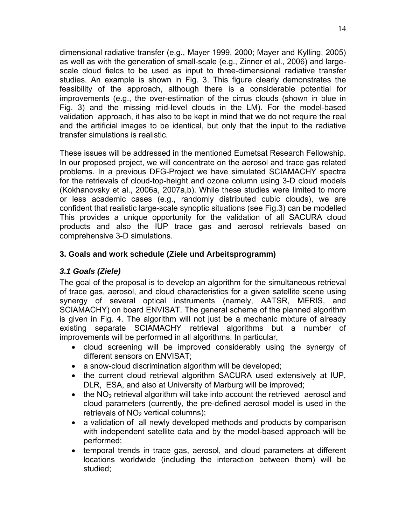dimensional radiative transfer (e.g., Mayer 1999, 2000; Mayer and Kylling, 2005) as well as with the generation of small-scale (e.g., Zinner et al., 2006) and largescale cloud fields to be used as input to three-dimensional radiative transfer studies. An example is shown in Fig. 3. This figure clearly demonstrates the feasibility of the approach, although there is a considerable potential for improvements (e.g., the over-estimation of the cirrus clouds (shown in blue in Fig. 3) and the missing mid-level clouds in the LM). For the model-based validation approach, it has also to be kept in mind that we do not require the real and the artificial images to be identical, but only that the input to the radiative transfer simulations is realistic.

These issues will be addressed in the mentioned Eumetsat Research Fellowship. In our proposed project, we will concentrate on the aerosol and trace gas related problems. In a previous DFG-Project we have simulated SCIAMACHY spectra for the retrievals of cloud-top-height and ozone column using 3-D cloud models (Kokhanovsky et al., 2006a, 2007a,b). While these studies were limited to more or less academic cases (e.g., randomly distributed cubic clouds), we are confident that realistic large-scale synoptic situations (see Fig.3) can be modelled This provides a unique opportunity for the validation of all SACURA cloud products and also the IUP trace gas and aerosol retrievals based on comprehensive 3-D simulations.

## **3. Goals and work schedule (Ziele und Arbeitsprogramm)**

### *3.1 Goals (Ziele)*

The goal of the proposal is to develop an algorithm for the simultaneous retrieval of trace gas, aerosol, and cloud characteristics for a given satellite scene using synergy of several optical instruments (namely, AATSR, MERIS, and SCIAMACHY) on board ENVISAT. The general scheme of the planned algorithm is given in Fig. 4. The algorithm will not just be a mechanic mixture of already existing separate SCIAMACHY retrieval algorithms but a number of improvements will be performed in all algorithms. In particular,

- cloud screening will be improved considerably using the synergy of different sensors on ENVISAT;
- a snow-cloud discrimination algorithm will be developed;
- the current cloud retrieval algorithm SACURA used extensively at IUP, DLR, ESA, and also at University of Marburg will be improved;
- the  $NO<sub>2</sub>$  retrieval algorithm will take into account the retrieved aerosol and cloud parameters (currently, the pre-defined aerosol model is used in the retrievals of  $NO<sub>2</sub>$  vertical columns);
- a validation of all newly developed methods and products by comparison with independent satellite data and by the model-based approach will be performed;
- temporal trends in trace gas, aerosol, and cloud parameters at different locations worldwide (including the interaction between them) will be studied;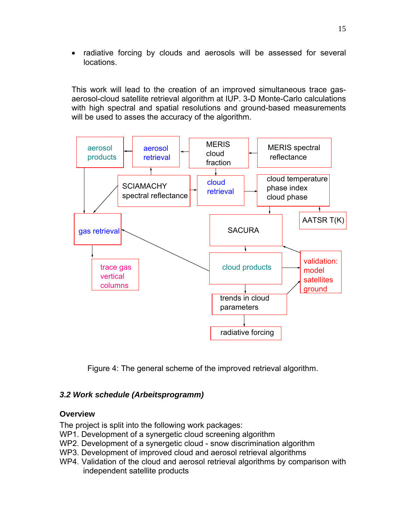• radiative forcing by clouds and aerosols will be assessed for several locations.

This work will lead to the creation of an improved simultaneous trace gasaerosol-cloud satellite retrieval algorithm at IUP. 3-D Monte-Carlo calculations with high spectral and spatial resolutions and ground-based measurements will be used to asses the accuracy of the algorithm.



Figure 4: The general scheme of the improved retrieval algorithm.

### *3.2 Work schedule (Arbeitsprogramm)*

#### **Overview**

The project is split into the following work packages:

- WP1. Development of a synergetic cloud screening algorithm
- WP2. Development of a synergetic cloud snow discrimination algorithm
- WP3. Development of improved cloud and aerosol retrieval algorithms
- WP4. Validation of the cloud and aerosol retrieval algorithms by comparison with independent satellite products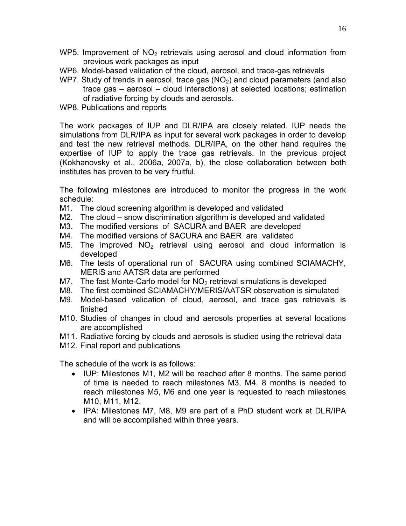- WP5. Improvement of  $NO<sub>2</sub>$  retrievals using aerosol and cloud information from previous work packages as input
- WP6. Model-based validation of the cloud, aerosol, and trace-gas retrievals
- WP7. Study of trends in aerosol, trace gas  $(NO<sub>2</sub>)$  and cloud parameters (and also trace gas – aerosol – cloud interactions) at selected locations; estimation of radiative forcing by clouds and aerosols.
- WP8. Publications and reports

The work packages of IUP and DLR/IPA are closely related. IUP needs the simulations from DLR/IPA as input for several work packages in order to develop and test the new retrieval methods. DLR/IPA, on the other hand requires the expertise of IUP to apply the trace gas retrievals. In the previous project (Kokhanovsky et al., 2006a, 2007a, b), the close collaboration between both institutes has proven to be very fruitful.

The following milestones are introduced to monitor the progress in the work schedule:

- M1. The cloud screening algorithm is developed and validated
- M2. The cloud snow discrimination algorithm is developed and validated
- M3. The modified versions of SACURA and BAER are developed
- M4. The modified versions of SACURA and BAER are validated
- M5. The improved  $NO<sub>2</sub>$  retrieval using aerosol and cloud information is developed
- M6. The tests of operational run of SACURA using combined SCIAMACHY, MERIS and AATSR data are performed
- M7. The fast Monte-Carlo model for  $NO<sub>2</sub>$  retrieval simulations is developed
- M8. The first combined SCIAMACHY/MERIS/AATSR observation is simulated
- M9. Model-based validation of cloud, aerosol, and trace gas retrievals is finished
- M10. Studies of changes in cloud and aerosols properties at several locations are accomplished
- M11. Radiative forcing by clouds and aerosols is studied using the retrieval data
- M12. Final report and publications

The schedule of the work is as follows:

- IUP: Milestones M1, M2 will be reached after 8 months. The same period of time is needed to reach milestones M3, M4. 8 months is needed to reach milestones M5, M6 and one year is requested to reach milestones M10, M11, M12.
- IPA: Milestones M7, M8, M9 are part of a PhD student work at DLR/IPA and will be accomplished within three years.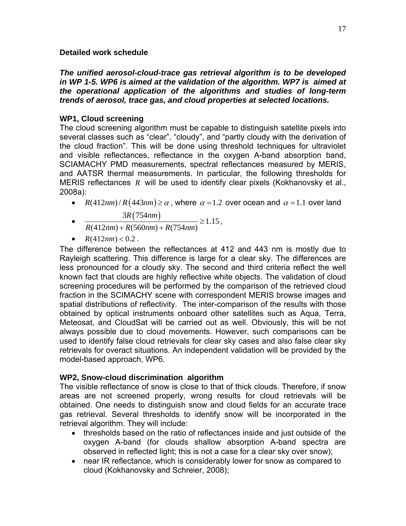#### **Detailed work schedule**

*The unified aerosol-cloud-trace gas retrieval algorithm is to be developed in WP 1-5. WP6 is aimed at the validation of the algorithm. WP7 is aimed at the operational application of the algorithms and studies of long-term trends of aerosol, trace gas, and cloud properties at selected locations.* 

### **WP1, Cloud screening**

The cloud screening algorithm must be capable to distinguish satellite pixels into several classes such as "clear", "cloudy", and "partly cloudy with the derivation of the cloud fraction". This will be done using threshold techniques for ultraviolet and visible reflectances, reflectance in the oxygen A-band absorption band, SCIAMACHY PMD measurements, spectral reflectances measured by MERIS, and AATSR thermal measurements. In particular, the following thresholds for MERIS reflectances *R* will be used to identify clear pixels (Kokhanovsky et al., 2008a):

•  $R(412nm)/R(443nm) \ge \alpha$ , where  $\alpha = 1.2$  over ocean and  $\alpha = 1.1$  over land

$$
3R(754nm)
$$

- $\frac{3R(754nm)}{2(1.15 \times 1.15^{2})} \ge 1.15$  $(412nm) + R(560nm) + R(754nm)$  $R(412nm) + R(560nm) + R(754nm)$  $\frac{3R(75 \text{ mm})}{+ R(560 \text{ nm}) + R(754 \text{ nm})} \ge 1.15$ ,
- $R(412nm) < 0.2$ .

The difference between the reflectances at 412 and 443 nm is mostly due to Rayleigh scattering. This difference is large for a clear sky. The differences are less pronounced for a cloudy sky. The second and third criteria reflect the well known fact that clouds are highly reflective white objects. The validation of cloud screening procedures will be performed by the comparison of the retrieved cloud fraction in the SCIMACHY scene with correspondent MERIS browse images and spatial distributions of reflectivity. The inter-comparison of the results with those obtained by optical instruments onboard other satellites such as Aqua, Terra, Meteosat, and CloudSat will be carried out as well. Obviously, this will be not always possible due to cloud movements. However, such comparisons can be used to identify false cloud retrievals for clear sky cases and also false clear sky retrievals for overact situations. An independent validation will be provided by the model-based approach, WP6.

### **WP2, Snow-cloud discrimination algorithm**

The visible reflectance of snow is close to that of thick clouds. Therefore, if snow areas are not screened properly, wrong results for cloud retrievals will be obtained. One needs to distinguish snow and cloud fields for an accurate trace gas retrieval. Several thresholds to identify snow will be incorporated in the retrieval algorithm. They will include:

- thresholds based on the ratio of reflectances inside and just outside of the oxygen A-band (for clouds shallow absorption A-band spectra are observed in reflected light; this is not a case for a clear sky over snow);
- near IR reflectance, which is considerably lower for snow as compared to cloud (Kokhanovsky and Schreier, 2008);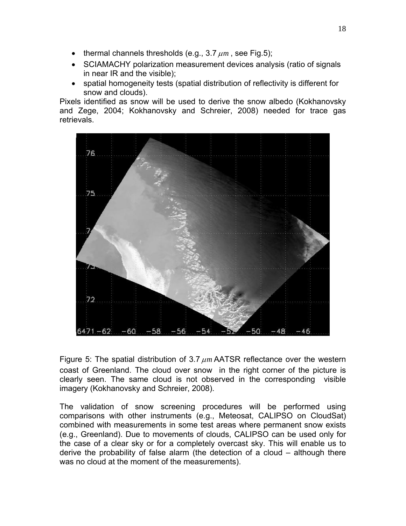- thermal channels thresholds (e.g.,  $3.7 \mu m$ , see Fig.5);
- SCIAMACHY polarization measurement devices analysis (ratio of signals in near IR and the visible);
- spatial homogeneity tests (spatial distribution of reflectivity is different for snow and clouds).

Pixels identified as snow will be used to derive the snow albedo (Kokhanovsky and Zege, 2004; Kokhanovsky and Schreier, 2008) needed for trace gas retrievals.



Figure 5: The spatial distribution of 3.7 <sup>μ</sup>*m* AATSR reflectance over the western coast of Greenland. The cloud over snow in the right corner of the picture is clearly seen. The same cloud is not observed in the corresponding visible imagery (Kokhanovsky and Schreier, 2008).

The validation of snow screening procedures will be performed using comparisons with other instruments (e.g., Meteosat, CALIPSO on CloudSat) combined with measurements in some test areas where permanent snow exists (e.g., Greenland). Due to movements of clouds, CALIPSO can be used only for the case of a clear sky or for a completely overcast sky. This will enable us to derive the probability of false alarm (the detection of a cloud – although there was no cloud at the moment of the measurements).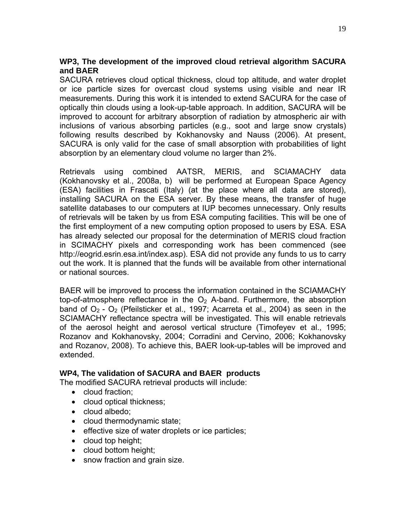### **WP3, The development of the improved cloud retrieval algorithm SACURA and BAER**

SACURA retrieves cloud optical thickness, cloud top altitude, and water droplet or ice particle sizes for overcast cloud systems using visible and near IR measurements. During this work it is intended to extend SACURA for the case of optically thin clouds using a look-up-table approach. In addition, SACURA will be improved to account for arbitrary absorption of radiation by atmospheric air with inclusions of various absorbing particles (e.g., soot and large snow crystals) following results described by Kokhanovsky and Nauss (2006). At present, SACURA is only valid for the case of small absorption with probabilities of light absorption by an elementary cloud volume no larger than 2%.

Retrievals using combined AATSR, MERIS, and SCIAMACHY data (Kokhanovsky et al., 2008a, b) will be performed at European Space Agency (ESA) facilities in Frascati (Italy) (at the place where all data are stored), installing SACURA on the ESA server. By these means, the transfer of huge satellite databases to our computers at IUP becomes unnecessary. Only results of retrievals will be taken by us from ESA computing facilities. This will be one of the first employment of a new computing option proposed to users by ESA. ESA has already selected our proposal for the determination of MERIS cloud fraction in SCIMACHY pixels and corresponding work has been commenced (see http://eogrid.esrin.esa.int/index.asp). ESA did not provide any funds to us to carry out the work. It is planned that the funds will be available from other international or national sources.

BAER will be improved to process the information contained in the SCIAMACHY top-of-atmosphere reflectance in the  $O<sub>2</sub>$  A-band. Furthermore, the absorption band of  $O_2$  -  $O_2$  (Pfeilsticker et al., 1997; Acarreta et al., 2004) as seen in the SCIAMACHY reflectance spectra will be investigated. This will enable retrievals of the aerosol height and aerosol vertical structure (Timofeyev et al., 1995; Rozanov and Kokhanovsky, 2004; Corradini and Cervino, 2006; Kokhanovsky and Rozanov, 2008). To achieve this, BAER look-up-tables will be improved and extended.

#### **WP4, The validation of SACURA and BAER products**

The modified SACURA retrieval products will include:

- cloud fraction;
- cloud optical thickness;
- cloud albedo;
- cloud thermodynamic state;
- effective size of water droplets or ice particles;
- cloud top height;
- cloud bottom height;
- snow fraction and grain size.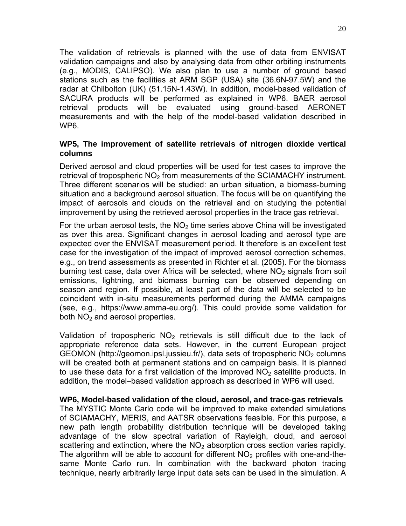The validation of retrievals is planned with the use of data from ENVISAT validation campaigns and also by analysing data from other orbiting instruments (e.g., MODIS, CALIPSO). We also plan to use a number of ground based stations such as the facilities at ARM SGP (USA) site (36.6N-97.5W) and the radar at Chilbolton (UK) (51.15N-1.43W). In addition, model-based validation of SACURA products will be performed as explained in WP6. BAER aerosol retrieval products will be evaluated using ground-based AERONET measurements and with the help of the model-based validation described in WP6.

#### **WP5, The improvement of satellite retrievals of nitrogen dioxide vertical columns**

Derived aerosol and cloud properties will be used for test cases to improve the retrieval of tropospheric  $NO<sub>2</sub>$  from measurements of the SCIAMACHY instrument. Three different scenarios will be studied: an urban situation, a biomass-burning situation and a background aerosol situation. The focus will be on quantifying the impact of aerosols and clouds on the retrieval and on studying the potential improvement by using the retrieved aerosol properties in the trace gas retrieval.

For the urban aerosol tests, the  $NO<sub>2</sub>$  time series above China will be investigated as over this area. Significant changes in aerosol loading and aerosol type are expected over the ENVISAT measurement period. It therefore is an excellent test case for the investigation of the impact of improved aerosol correction schemes, e.g., on trend assessments as presented in Richter et al. (2005). For the biomass burning test case, data over Africa will be selected, where  $NO<sub>2</sub>$  signals from soil emissions, lightning, and biomass burning can be observed depending on season and region. If possible, at least part of the data will be selected to be coincident with in-situ measurements performed during the AMMA campaigns (see, e.g., [https://www.amma-eu.org/\)](https://www.amma-eu.org/). This could provide some validation for both  $NO<sub>2</sub>$  and aerosol properties.

Validation of tropospheric  $NO<sub>2</sub>$  retrievals is still difficult due to the lack of appropriate reference data sets. However, in the current European project GEOMON (<http://geomon.ipsl.jussieu.fr/>), data sets of tropospheric  $NO<sub>2</sub>$  columns will be created both at permanent stations and on campaign basis. It is planned to use these data for a first validation of the improved  $NO<sub>2</sub>$  satellite products. In addition, the model–based validation approach as described in WP6 will used.

**WP6, Model-based validation of the cloud, aerosol, and trace-gas retrievals**  The MYSTIC Monte Carlo code will be improved to make extended simulations of SCIAMACHY, MERIS, and AATSR observations feasible. For this purpose, a new path length probability distribution technique will be developed taking advantage of the slow spectral variation of Rayleigh, cloud, and aerosol scattering and extinction, where the  $NO<sub>2</sub>$  absorption cross section varies rapidly. The algorithm will be able to account for different  $NO<sub>2</sub>$  profiles with one-and-thesame Monte Carlo run. In combination with the backward photon tracing technique, nearly arbitrarily large input data sets can be used in the simulation. A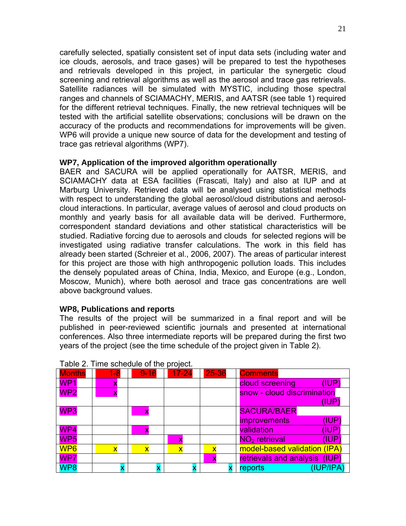carefully selected, spatially consistent set of input data sets (including water and ice clouds, aerosols, and trace gases) will be prepared to test the hypotheses and retrievals developed in this project, in particular the synergetic cloud screening and retrieval algorithms as well as the aerosol and trace gas retrievals. Satellite radiances will be simulated with MYSTIC, including those spectral ranges and channels of SCIAMACHY, MERIS, and AATSR (see table 1) required for the different retrieval techniques. Finally, the new retrieval techniques will be tested with the artificial satellite observations; conclusions will be drawn on the accuracy of the products and recommendations for improvements will be given. WP6 will provide a unique new source of data for the development and testing of trace gas retrieval algorithms (WP7).

#### **WP7, Application of the improved algorithm operationally**

BAER and SACURA will be applied operationally for AATSR, MERIS, and SCIAMACHY data at ESA facilities (Frascati, Italy) and also at IUP and at Marburg University. Retrieved data will be analysed using statistical methods with respect to understanding the global aerosol/cloud distributions and aerosolcloud interactions. In particular, average values of aerosol and cloud products on monthly and yearly basis for all available data will be derived. Furthermore, correspondent standard deviations and other statistical characteristics will be studied. Radiative forcing due to aerosols and clouds for selected regions will be investigated using radiative transfer calculations. The work in this field has already been started (Schreier et al., 2006, 2007). The areas of particular interest for this project are those with high anthropogenic pollution loads. This includes the densely populated areas of China, India, Mexico, and Europe (e.g., London, Moscow, Munich), where both aerosol and trace gas concentrations are well above background values.

#### **WP8, Publications and reports**

The results of the project will be summarized in a final report and will be published in peer-reviewed scientific journals and presented at international conferences. Also three intermediate reports will be prepared during the first two years of the project (see the time schedule of the project given in Table 2).

| <b>Months</b>   | $1 - 8$                 | $9 - 16$                | $17 - 24$               | 25-36                   | <b>Comments</b>                    |
|-----------------|-------------------------|-------------------------|-------------------------|-------------------------|------------------------------------|
| WP <sub>1</sub> |                         |                         |                         |                         | cloud screening<br>(IUP)           |
| WP <sub>2</sub> |                         |                         |                         |                         | snow - cloud discrimination        |
|                 |                         |                         |                         |                         | (IUP)                              |
| WP3             |                         | X                       |                         |                         | <b>SACURA/BAER</b>                 |
|                 |                         |                         |                         |                         | (IDP)<br><i>improvements</i>       |
| WP4             |                         | x                       |                         |                         | validation<br>'IUP'                |
| WP <sub>5</sub> |                         |                         |                         |                         | NO <sub>2</sub> retrieval<br>(IUP) |
| WP <sub>6</sub> | $\overline{\mathbf{x}}$ | $\overline{\mathbf{v}}$ | $\overline{\mathsf{x}}$ | $\overline{\mathbf{x}}$ | model-based validation (IPA)       |
| WP7             |                         |                         |                         | X                       | retrievals and analysis (IUP)      |
| WP8             |                         |                         |                         |                         | (IUP/IPA)<br>reports               |

#### Table 2. Time schedule of the project.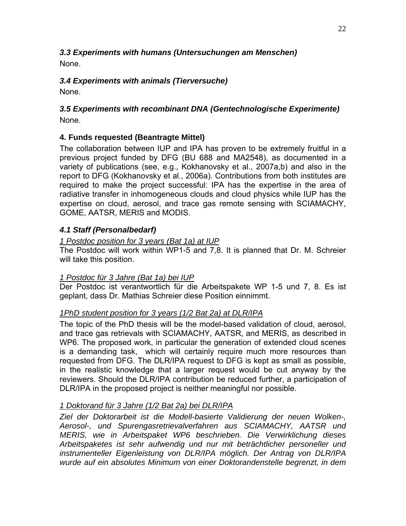#### *3.3 Experiments with humans (Untersuchungen am Menschen)*  None.

## *3.4 Experiments with animals (Tierversuche)*

None.

## *3.5 Experiments with recombinant DNA (Gentechnologische Experimente)*  None.

## **4. Funds requested (Beantragte Mittel)**

The collaboration between IUP and IPA has proven to be extremely fruitful in a previous project funded by DFG (BU 688 and MA2548), as documented in a variety of publications (see, e.g., Kokhanovsky et al., 2007a,b) and also in the report to DFG (Kokhanovsky et al., 2006a). Contributions from both institutes are required to make the project successful: IPA has the expertise in the area of radiative transfer in inhomogeneous clouds and cloud physics while IUP has the expertise on cloud, aerosol, and trace gas remote sensing with SCIAMACHY, GOME, AATSR, MERIS and MODIS.

### *4.1 Staff (Personalbedarf)*

### *1 Postdoc position for 3 years (Bat 1a) at IUP*

The Postdoc will work within WP1-5 and 7,8. It is planned that Dr. M. Schreier will take this position.

### *1 Postdoc für 3 Jahre (Bat 1a) bei IUP*

Der Postdoc ist verantwortlich für die Arbeitspakete WP 1-5 und 7, 8. Es ist geplant, dass Dr. Mathias Schreier diese Position einnimmt.

### *1PhD student position for 3 years (1/2 Bat 2a) at DLR/IPA*

The topic of the PhD thesis will be the model-based validation of cloud, aerosol, and trace gas retrievals with SCIAMACHY, AATSR, and MERIS, as described in WP6. The proposed work, in particular the generation of extended cloud scenes is a demanding task, which will certainly require much more resources than requested from DFG. The DLR/IPA request to DFG is kept as small as possible, in the realistic knowledge that a larger request would be cut anyway by the reviewers. Should the DLR/IPA contribution be reduced further, a participation of DLR/IPA in the proposed project is neither meaningful nor possible.

### *1 Doktorand für 3 Jahre (1/2 Bat 2a) bei DLR/IPA*

*Ziel der Doktorarbeit ist die Modell-basierte Validierung der neuen Wolken-, Aerosol-, und Spurengasretrievalverfahren aus SCIAMACHY, AATSR und MERIS, wie in Arbeitspaket WP6 beschrieben. Die Verwirklichung dieses Arbeitspaketes ist sehr aufwendig und nur mit beträchtlicher personeller und instrumenteller Eigenleistung von DLR/IPA möglich. Der Antrag von DLR/IPA wurde auf ein absolutes Minimum von einer Doktorandenstelle begrenzt, in dem*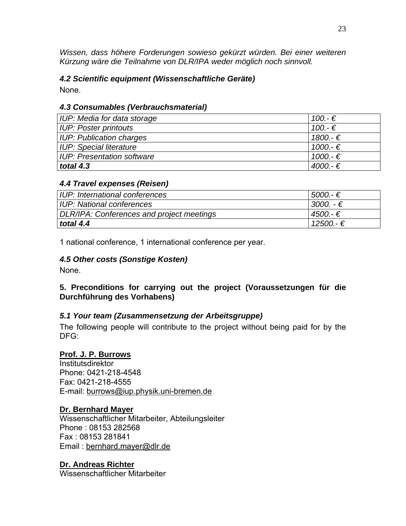*Wissen, dass höhere Forderungen sowieso gekürzt würden. Bei einer weiteren Kürzung wäre die Teilnahme von DLR/IPA weder möglich noch sinnvoll.* 

#### *4.2 Scientific equipment (Wissenschaftliche Geräte)*

None.

### *4.3 Consumables (Verbrauchsmaterial)*

| IUP: Media for data storage       | 100.-€    |
|-----------------------------------|-----------|
| <b>IUP: Poster printouts</b>      | $100.-€$  |
| <b>IUP: Publication charges</b>   | 1800.-€   |
| <b>IUP: Special literature</b>    | $1000.-€$ |
| <b>IUP: Presentation software</b> | $1000.-€$ |
| total 4.3                         | $4000.-€$ |

### *4.4 Travel expenses (Reisen)*

| UP: International conferences             | $5000 - \epsilon$  |
|-------------------------------------------|--------------------|
| UP: National conferences                  | 3000. - €          |
| DLR/IPA: Conferences and project meetings | $4500 - \epsilon$  |
| total $4.4$                               | $12500 - \epsilon$ |

1 national conference, 1 international conference per year.

#### *4.5 Other costs (Sonstige Kosten)*

None.

### **5. Preconditions for carrying out the project (Voraussetzungen für die Durchführung des Vorhabens)**

#### *5.1 Your team (Zusammensetzung der Arbeitsgruppe)*

The following people will contribute to the project without being paid for by the DFG:

#### **Prof. J. P. Burrows**

**Institutsdirektor** Phone: 0421-218-4548 Fax: 0421-218-4555 E-mail: [burrows@iup.physik.uni-bremen.de](mailto:burrows@iup.physik.uni-bremen.de)

#### **Dr. Bernhard Mayer**

Wissenschaftlicher Mitarbeiter, Abteilungsleiter Phone : 08153 282568 Fax : 08153 281841 Email : [bernhard.mayer@dlr.de](mailto:bernhard.mayer@dlr.de)

**Dr. Andreas Richter** Wissenschaftlicher Mitarbeiter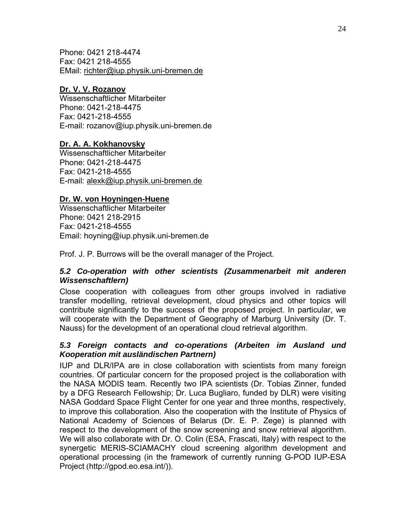Phone: 0421 218-4474 Fax: 0421 218-4555 EMail: [richter@iup.physik.uni-bremen.de](mailto:richter@iup.physik.uni-bremen.de)

#### **Dr. V. V. Rozanov**

Wissenschaftlicher Mitarbeiter Phone: 0421-218-4475 Fax: 0421-218-4555 E-mail: [rozanov@iup.physik.uni-bremen.de](mailto:%20rozanov@iup.physik.uni-bremen.de) 

### **Dr. A. A. Kokhanovsky**

Wissenschaftlicher Mitarbeiter Phone: 0421-218-4475 Fax: 0421-218-4555 E-mail: [alexk@iup.physik.uni-bremen.de](mailto:alexk@iup.physik.uni-bremen.de)

### **Dr. W. von Hoyningen-Huene**

Wissenschaftlicher Mitarbeiter Phone: 0421 218-2915 Fax: 0421-218-4555 Email: hoyning@iup.physik.uni-bremen.de

Prof. J. P. Burrows will be the overall manager of the Project.

#### *5.2 Co-operation with other scientists (Zusammenarbeit mit anderen Wissenschaftlern)*

Close cooperation with colleagues from other groups involved in radiative transfer modelling, retrieval development, cloud physics and other topics will contribute significantly to the success of the proposed project. In particular, we will cooperate with the Department of Geography of Marburg University (Dr. T. Nauss) for the development of an operational cloud retrieval algorithm.

#### *5.3 Foreign contacts and co-operations (Arbeiten im Ausland und Kooperation mit ausländischen Partnern)*

IUP and DLR/IPA are in close collaboration with scientists from many foreign countries. Of particular concern for the proposed project is the collaboration with the NASA MODIS team. Recently two IPA scientists (Dr. Tobias Zinner, funded by a DFG Research Fellowship; Dr. Luca Bugliaro, funded by DLR) were visiting NASA Goddard Space Flight Center for one year and three months, respectively, to improve this collaboration. Also the cooperation with the Institute of Physics of National Academy of Sciences of Belarus (Dr. E. P. Zege) is planned with respect to the development of the snow screening and snow retrieval algorithm. We will also collaborate with Dr. O. Colin (ESA, Frascati, Italy) with respect to the synergetic MERIS-SCIAMACHY cloud screening algorithm development and operational processing (in the framework of currently running G-POD IUP-ESA Project (http://gpod.eo.esa.int/)).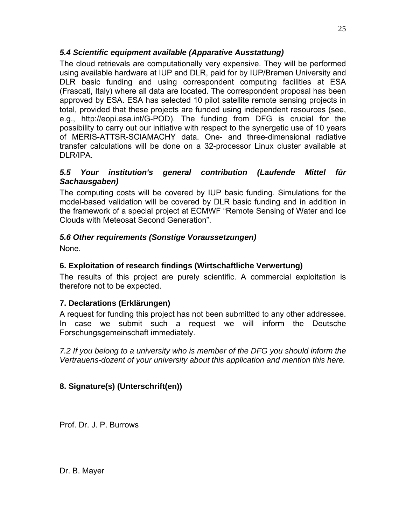## *5.4 Scientific equipment available (Apparative Ausstattung)*

The cloud retrievals are computationally very expensive. They will be performed using available hardware at IUP and DLR, paid for by IUP/Bremen University and DLR basic funding and using correspondent computing facilities at ESA (Frascati, Italy) where all data are located. The correspondent proposal has been approved by ESA. ESA has selected 10 pilot satellite remote sensing projects in total, provided that these projects are funded using independent resources (see, e.g., [http://eopi.esa.int/G-POD\)](http://eopi.esa.int/G-POD). The funding from DFG is crucial for the possibility to carry out our initiative with respect to the synergetic use of 10 years of MERIS-ATTSR-SCIAMACHY data. One- and three-dimensional radiative transfer calculations will be done on a 32-processor Linux cluster available at DLR/IPA.

### *5.5 Your institution's general contribution (Laufende Mittel für Sachausgaben)*

The computing costs will be covered by IUP basic funding. Simulations for the model-based validation will be covered by DLR basic funding and in addition in the framework of a special project at ECMWF "Remote Sensing of Water and Ice Clouds with Meteosat Second Generation".

# *5.6 Other requirements (Sonstige Voraussetzungen)*

None.

# **6. Exploitation of research findings (Wirtschaftliche Verwertung)**

The results of this project are purely scientific. A commercial exploitation is therefore not to be expected.

# **7. Declarations (Erklärungen)**

A request for funding this project has not been submitted to any other addressee. In case we submit such a request we will inform the Deutsche Forschungsgemeinschaft immediately.

*7.2 If you belong to a university who is member of the DFG you should inform the Vertrauens-dozent of your university about this application and mention this here.* 

# **8. Signature(s) (Unterschrift(en))**

Prof. Dr. J. P. Burrows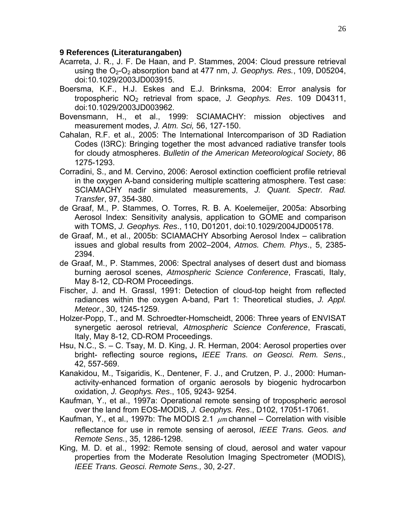#### **9 References (Literaturangaben)**

- Acarreta, J. R., J. F. De Haan, and P. Stammes, 2004: Cloud pressure retrieval using the O<sub>2</sub>-O<sub>2</sub> absorption band at 477 nm, *J. Geophys. Res.*, 109, D05204, doi:10.1029/2003JD003915.
- Boersma, K.F., H.J. Eskes and E.J. Brinksma, 2004: Error analysis for tropospheric NO2 retrieval from space, *J. Geophys. Res*. 109 D04311, doi:10.1029/2003JD003962.
- Bovensmann, H., et al., 1999: SCIAMACHY: mission objectives and measurement modes, *J. Atm. Sci,* 56, 127-150.
- Cahalan, R.F. et al., 2005: The International Intercomparison of 3D Radiation Codes (I3RC): Bringing together the most advanced radiative transfer tools for cloudy atmospheres. *Bulletin of the American Meteorological Society*, 86 1275-1293.
- Corradini, S., and M. Cervino, 2006: Aerosol extinction coefficient profile retrieval in the oxygen A-band considering multiple scattering atmosphere. Test case: SCIAMACHY nadir simulated measurements, *J. Quant. Spectr. Rad. Transfer*, 97, 354-380.
- de Graaf, M., P. Stammes, O. Torres, R. B. A. Koelemeijer, 2005a: Absorbing Aerosol Index: Sensitivity analysis, application to GOME and comparison with TOMS, *J. Geophys. Res*., 110, D01201, doi:10.1029/2004JD005178.
- de Graaf, M., et al., 2005b: SCIAMACHY Absorbing Aerosol Index calibration issues and global results from 2002–2004, *Atmos. Chem. Phys*., 5, 2385- 2394.
- de Graaf, M., P. Stammes, 2006: Spectral analyses of desert dust and biomass burning aerosol scenes, *Atmospheric Science Conference*, Frascati, Italy, May 8-12, CD-ROM Proceedings.
- Fischer, J. and H. Grassl, 1991: Detection of cloud-top height from reflected radiances within the oxygen A-band, Part 1: Theoretical studies, *J. Appl. Meteor.*, 30, 1245-1259.
- Holzer-Popp, T., and M. Schroedter-Homscheidt, 2006: Three years of ENVISAT synergetic aerosol retrieval, *Atmospheric Science Conference*, Frascati, Italy, May 8-12, CD-ROM Proceedings.
- Hsu, N.C., S. C. Tsay, M. D. King, J. R. Herman, 2004: Aerosol properties over bright- reflecting source regions**,** *IEEE Trans. on Geosci. Rem. Sens.,* 42, 557-569.
- Kanakidou, M., Tsigaridis, K., Dentener, F. J., and Crutzen, P. J., 2000: Humanactivity-enhanced formation of organic aerosols by biogenic hydrocarbon oxidation, *J. Geophys. Res*., 105, 9243- 9254.
- Kaufman, Y., et al., 1997a: Operational remote sensing of tropospheric aerosol over the land from EOS-MODIS, *J. Geophys. Res*., D102, 17051-17061.
- Kaufman, Y., et al., 1997b: The MODIS 2.1  $\mu$ m channel Correlation with visible reflectance for use in remote sensing of aerosol, *IEEE Trans. Geos. and Remote Sens.*, 35, 1286-1298.
- King, M. D. et al., 1992: Remote sensing of cloud, aerosol and water vapour properties from the Moderate Resolution Imaging Spectrometer (MODIS)*, IEEE Trans. Geosci. Remote Sens.,* 30, 2-27.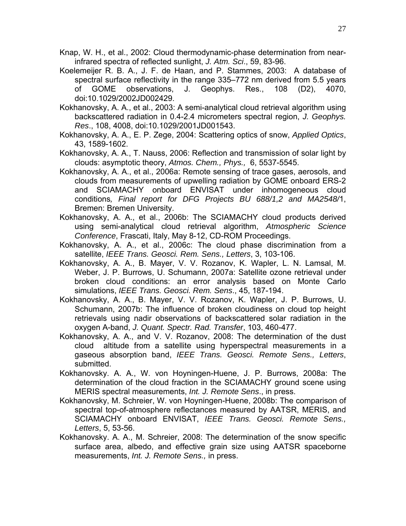- Knap, W. H., et al., 2002: Cloud thermodynamic-phase determination from nearinfrared spectra of reflected sunlight, *J. Atm. Sci*., 59, 83-96.
- Koelemeijer R. B. A., J. F. de Haan, and P. Stammes, 2003: A database of spectral surface reflectivity in the range 335–772 nm derived from 5.5 years of GOME observations, J. Geophys. Res., 108 (D2), 4070, doi:10.1029/2002JD002429.
- Kokhanovsky, A. A., et al., 2003: A semi-analytical cloud retrieval algorithm using backscattered radiation in 0.4-2.4 micrometers spectral region, *J. Geophys. Res*., 108, 4008, doi:10.1029/2001JD001543.
- Kokhanovsky, A. A., E. P. Zege, 2004: Scattering optics of snow, *Applied Optics*, 43, 1589-1602.
- Kokhanovsky, A. A., T. Nauss, 2006: Reflection and transmission of solar light by clouds: asymptotic theory, *Atmos. Chem., Phys.,* 6, 5537-5545.
- Kokhanovsky, A. A., et al., 2006a: Remote sensing of trace gases, aerosols, and clouds from measurements of upwelling radiation by GOME onboard ERS-2 and SCIAMACHY onboard ENVISAT under inhomogeneous cloud conditions*, Final report for DFG Projects BU 688/1,2 and MA2548/*1, Bremen: Bremen University.
- Kokhanovsky, A. A., et al., 2006b: The SCIAMACHY cloud products derived using semi-analytical cloud retrieval algorithm, *Atmospheric Science Conference*, Frascati, Italy, May 8-12, CD-ROM Proceedings.
- Kokhanovsky, A. A., et al., 2006c: The cloud phase discrimination from a satellite, *IEEE Trans. Geosci. Rem. Sens., Letters*, 3, 103-106.
- Kokhanovsky, A. A., B. Mayer, V. V. Rozanov, K. Wapler, L. N. Lamsal, M. Weber, J. P. Burrows, U. Schumann, 2007a: Satellite ozone retrieval under broken cloud conditions: an error analysis based on Monte Carlo simulations, *IEEE Trans. Geosci. Rem. Sens*., 45, 187-194.
- Kokhanovsky, A. A., B. Mayer, V. V. Rozanov, K. Wapler, J. P. Burrows, U. Schumann, 2007b: The influence of broken cloudiness on cloud top height retrievals using nadir observations of backscattered solar radiation in the oxygen A-band, *J. Quant. Spectr. Rad. Transfer*, 103, 460-477.
- Kokhanovsky, A. A., and V. V. Rozanov, 2008: The determination of the dust cloud altitude from a satellite using hyperspectral measurements in a gaseous absorption band, *IEEE Trans. Geosci. Remote Sens., Letters*, submitted.
- Kokhanovsky. A. A., W. von Hoyningen-Huene, J. P. Burrows, 2008a: The determination of the cloud fraction in the SCIAMACHY ground scene using MERIS spectral measurements, *Int. J. Remote Sens*., in press.
- Kokhanovsky, M. Schreier, W. von Hoyningen-Huene, 2008b: The comparison of spectral top-of-atmosphere reflectances measured by AATSR, MERIS, and SCIAMACHY onboard ENVISAT, *IEEE Trans. Geosci. Remote Sens., Letters*, 5, 53-56.
- Kokhanovsky. A. A., M. Schreier, 2008: The determination of the snow specific surface area, albedo, and effective grain size using AATSR spaceborne measurements, *Int. J. Remote Sens.,* in press.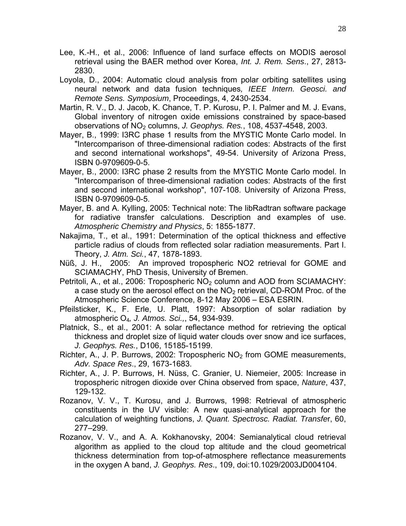- Lee, K.-H., et al., 2006: Influence of land surface effects on MODIS aerosol retrieval using the BAER method over Korea, *Int. J. Rem. Sens*., 27, 2813- 2830.
- Loyola, D., 2004: Automatic cloud analysis from polar orbiting satellites using neural network and data fusion techniques*, IEEE Intern. Geosci. and Remote Sens. Symposium*, Proceedings, 4, 2430-2534.
- Martin, R. V., D. J. Jacob, K. Chance, T. P. Kurosu, P. I. Palmer and M. J. Evans, Global inventory of nitrogen oxide emissions constrained by space-based observations of NO2 columns, *J. Geophys. Res.*, 108, 4537-4548, 2003.
- Mayer, B., 1999: I3RC phase 1 results from the MYSTIC Monte Carlo model. In "Intercomparison of three-dimensional radiation codes: Abstracts of the first and second international workshops", 49-54. University of Arizona Press, ISBN 0-9709609-0-5.
- Mayer, B., 2000: I3RC phase 2 results from the MYSTIC Monte Carlo model. In "Intercomparison of three-dimensional radiation codes: Abstracts of the first and second international workshop", 107-108. University of Arizona Press, ISBN 0-9709609-0-5.
- Mayer, B. and A. Kylling, 2005: Technical note: The libRadtran software package for radiative transfer calculations. Description and examples of use. *Atmospheric Chemistry and Physics*, 5: 1855-1877.
- Nakajima, T., et al., 1991: Determination of the optical thickness and effective particle radius of clouds from reflected solar radiation measurements. Part I. Theory, *J. Atm. Sci.*, 47, 1878-1893.
- Nüß, J. H., 2005: [An improved tropospheric NO2 retrieval for GOME and](http://www.iup.uni-bremen.de/doas/paper/diss_05_nuess.pdf)  [SCIAMACHY,](http://www.iup.uni-bremen.de/doas/paper/diss_05_nuess.pdf) PhD Thesis, University of Bremen.
- Petritoli, A., et al., 2006: Tropospheric  $NO<sub>2</sub>$  column and AOD from SCIAMACHY: a case study on the aerosol effect on the  $NO<sub>2</sub>$  retrieval, CD-ROM Proc. of the Atmospheric Science Conference, 8-12 May 2006 – ESA ESRIN.
- Pfeilsticker, K., F. Erle, U. Platt, 1997: Absorption of solar radiation by atmospheric O4*, J. Atmos. Sci.,*, 54, 934-939.
- Platnick, S., et al., 2001: A solar reflectance method for retrieving the optical thickness and droplet size of liquid water clouds over snow and ice surfaces, *J. Geophys. Res.*, D106, 15185-15199.
- Richter, A., J. P. Burrows, 2002: Tropospheric  $NO<sub>2</sub>$  from GOME measurements, *Adv. Space Res*., 29, 1673-1683.
- Richter, A., J. P. Burrows, H. Nüss, C. Granier, U. Niemeier, 2005: Increase in tropospheric nitrogen dioxide over China observed from space, *Nature*, 437, 129-132.
- Rozanov, V. V., T. Kurosu, and J. Burrows, 1998: Retrieval of atmospheric constituents in the UV visible: A new quasi-analytical approach for the calculation of weighting functions, *J. Quant. Spectrosc. Radiat. Transfe*r, 60, 277–299.
- Rozanov, V. V., and A. A. Kokhanovsky, 2004: Semianalytical cloud retrieval algorithm as applied to the cloud top altitude and the cloud geometrical thickness determination from top-of-atmosphere reflectance measurements in the oxygen A band, *J. Geophys. Res*., 109, doi:10.1029/2003JD004104.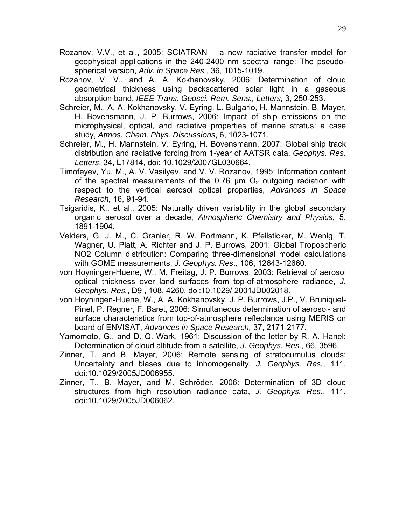- Rozanov, V.V., et al., 2005: SCIATRAN a new radiative transfer model for geophysical applications in the 240-2400 nm spectral range: The pseudospherical version, *Adv. in Space Res.*, 36, 1015-1019.
- Rozanov, V. V., and A. A. Kokhanovsky, 2006: Determination of cloud geometrical thickness using backscattered solar light in a gaseous absorption band, *IEEE Trans. Geosci. Rem. Sens., Letters,* 3, 250-253.
- Schreier, M., A. A. Kokhanovsky, V. Eyring, L. Bulgario, H. Mannstein, B. Mayer, H. Bovensmann, J. P. Burrows, 2006: Impact of ship emissions on the microphysical, optical, and radiative properties of marine stratus: a case study, *Atmos. Chem. Phys. Discussions*, 6, 1023-1071.
- Schreier, M., H. Mannstein, V. Eyring, H. Bovensmann, 2007: Global ship track distribution and radiative forcing from 1-year of AATSR data, *Geophys. Res. Letters*, 34, L17814, doi: 10.1029/2007GL030664.
- Timofeyev, Yu. M., A. V. Vasilyev, and V. V. Rozanov, 1995: Information content of the spectral measurements of the 0.76  $\mu$ m O<sub>2</sub> outgoing radiation with respect to the vertical aerosol optical properties, *Advances in Space Research,* 16, 91-94.
- Tsigaridis, K., et al., 2005: Naturally driven variability in the global secondary organic aerosol over a decade, *Atmospheric Chemistry and Physics*, 5, 1891-1904.
- Velders, G. J. M., C. Granier, R. W. Portmann, K. Pfeilsticker, M. Wenig, T. Wagner, U. Platt, A. Richter and J. P. Burrows, 2001: Global Tropospheric NO2 Column distribution: Comparing three-dimensional model calculations with GOME measurements, *J. Geophys. Res*., 106, 12643-12660.
- von Hoyningen-Huene, W., M. Freitag, J. P. Burrows, 2003: Retrieval of aerosol optical thickness over land surfaces from top-of-atmosphere radiance, *J. Geophys. Res.*, D9 , 108, 4260, doi:10.1029/ 2001JD002018.
- von Hoyningen-Huene, W., A. A. Kokhanovsky, J. P. Burrows, J.P., V. Bruniquel-Pinel, P. Regner, F. Baret, 2006: Simultaneous determination of aerosol- and surface characteristics from top-of-atmosphere reflectance using MERIS on board of ENVISAT, *Advances in Space Research,* 37, 2171-2177.
- Yamomoto, G., and D. Q. Wark, 1961: Discussion of the letter by R. A. Hanel: Determination of cloud altitude from a satellite, *J. Geophys. Res.*, 66, 3596.
- Zinner, T. and B. Mayer, 2006: Remote sensing of stratocumulus clouds: Uncertainty and biases due to inhomogeneity, *J. Geophys. Res.*, 111, doi:10.1029/2005JD006955.
- Zinner, T., B. Mayer, and M. Schröder, 2006: Determination of 3D cloud structures from high resolution radiance data, *J. Geophys. Res.*, 111, doi:10.1029/2005JD006062.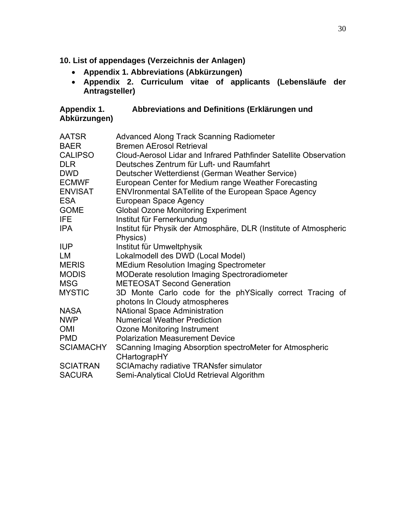- **10. List of appendages (Verzeichnis der Anlagen)** 
	- **Appendix 1. Abbreviations (Abkürzungen)**
	- **Appendix 2. Curriculum vitae of applicants (Lebensläufe der Antragsteller)**

| Appendix 1.  | Abbreviations and Definitions (Erklärungen und |
|--------------|------------------------------------------------|
| Abkürzungen) |                                                |

| <b>AATSR</b>     | <b>Advanced Along Track Scanning Radiometer</b>                   |
|------------------|-------------------------------------------------------------------|
| <b>BAER</b>      | <b>Bremen AErosol Retrieval</b>                                   |
| <b>CALIPSO</b>   | Cloud-Aerosol Lidar and Infrared Pathfinder Satellite Observation |
| <b>DLR</b>       | Deutsches Zentrum für Luft- und Raumfahrt                         |
| <b>DWD</b>       | Deutscher Wetterdienst (German Weather Service)                   |
| <b>ECMWF</b>     | European Center for Medium range Weather Forecasting              |
| <b>ENVISAT</b>   | <b>ENVIronmental SATellite of the European Space Agency</b>       |
| <b>ESA</b>       | European Space Agency                                             |
| <b>GOME</b>      | <b>Global Ozone Monitoring Experiment</b>                         |
| IFE.             | Institut für Fernerkundung                                        |
| <b>IPA</b>       | Institut für Physik der Atmosphäre, DLR (Institute of Atmospheric |
|                  | Physics)                                                          |
| <b>IUP</b>       | Institut für Umweltphysik                                         |
| LM               | Lokalmodell des DWD (Local Model)                                 |
| <b>MERIS</b>     | <b>MEdium Resolution Imaging Spectrometer</b>                     |
| <b>MODIS</b>     | MODerate resolution Imaging Spectroradiometer                     |
| <b>MSG</b>       | <b>METEOSAT Second Generation</b>                                 |
| <b>MYSTIC</b>    | 3D Monte Carlo code for the phYSically correct Tracing of         |
|                  | photons In Cloudy atmospheres                                     |
| <b>NASA</b>      | <b>NAtional Space Administration</b>                              |
| <b>NWP</b>       | <b>Numerical Weather Prediction</b>                               |
| <b>OMI</b>       | Ozone Monitoring Instrument                                       |
| <b>PMD</b>       | <b>Polarization Measurement Device</b>                            |
| <b>SCIAMACHY</b> | SCanning Imaging Absorption spectroMeter for Atmospheric          |
|                  | CHartograpHY                                                      |
| <b>SCIATRAN</b>  | <b>SCIAmachy radiative TRANsfer simulator</b>                     |
| <b>SACURA</b>    | Semi-Analytical CloUd Retrieval Algorithm                         |
|                  |                                                                   |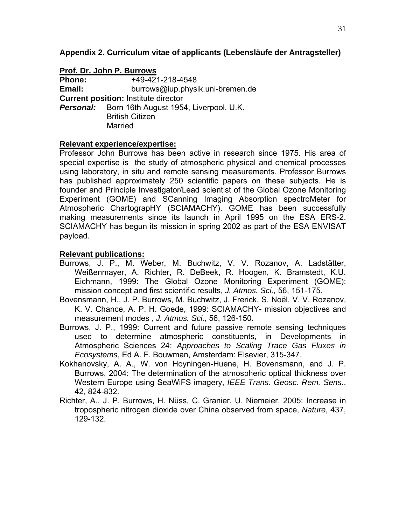#### **Appendix 2. Curriculum vitae of applicants (Lebensläufe der Antragsteller)**

| Prof. Dr. John P. Burrows                   |                                                         |  |
|---------------------------------------------|---------------------------------------------------------|--|
| <b>Phone:</b>                               | +49-421-218-4548                                        |  |
| Email:                                      | burrows@iup.physik.uni-bremen.de                        |  |
| <b>Current position: Institute director</b> |                                                         |  |
|                                             | <b>Personal:</b> Born 16th August 1954, Liverpool, U.K. |  |
|                                             | <b>British Citizen</b>                                  |  |
|                                             | <b>Married</b>                                          |  |

#### **Relevant experience/expertise:**

Professor John Burrows has been active in research since 1975. His area of special expertise is the study of atmospheric physical and chemical processes using laboratory, in situ and remote sensing measurements. Professor Burrows has published approximately 250 scientific papers on these subjects. He is founder and Principle Investigator/Lead scientist of the Global Ozone Monitoring Experiment (GOME) and SCanning Imaging Absorption spectroMeter for Atmospheric ChartograpHY (SCIAMACHY). GOME has been successfully making measurements since its launch in April 1995 on the ESA ERS-2. SCIAMACHY has begun its mission in spring 2002 as part of the ESA ENVISAT payload.

- Burrows, J. P., M. Weber, M. Buchwitz, V. V. Rozanov, A. Ladstätter, Weißenmayer, A. Richter, R. DeBeek, R. Hoogen, K. Bramstedt, K.U. Eichmann, 1999: The Global Ozone Monitoring Experiment (GOME): mission concept and first scientific results, *J. Atmos. Sci.,* 56, 151-175.
- Bovensmann, H., J. P. Burrows, M. Buchwitz, J. Frerick, S. Noël, V. V. Rozanov, K. V. Chance, A. P. H. Goede, 1999: SCIAMACHY- mission objectives and measurement modes *, J. Atmos. Sci.,* 56, 126-150.
- Burrows, J. P., 1999: Current and future passive remote sensing techniques used to determine atmospheric constituents, in Developments in Atmospheric Sciences 24: *Approaches to Scaling Trace Gas Fluxes in Ecosystems*, Ed A. F. Bouwman, Amsterdam: Elsevier, 315-347.
- Kokhanovsky, A. A., W. von Hoyningen-Huene, H. Bovensmann, and J. P. Burrows, 2004: The determination of the atmospheric optical thickness over Western Europe using SeaWiFS imagery, *IEEE Trans. Geosc. Rem. Sens.*, 42, 824-832.
- Richter, A., J. P. Burrows, H. Nüss, C. Granier, U. Niemeier, 2005: Increase in tropospheric nitrogen dioxide over China observed from space, *Nature*, 437, 129-132.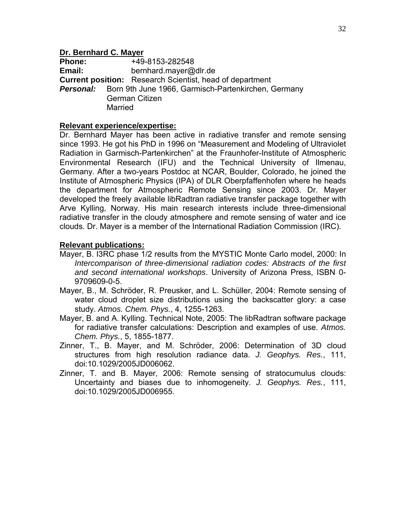#### **Dr. Bernhard C. Mayer**

**Phone:** +49-8153-282548 **Email:** [bernhard.mayer@dlr.de](mailto:bernhard.mayer@dlr.de)  **Current position:** Research Scientist, head of department **Personal:** Born 9th June 1966, Garmisch-Partenkirchen, Germany German Citizen **Married** 

#### **Relevant experience/expertise:**

Dr. Bernhard Mayer has been active in radiative transfer and remote sensing since 1993. He got his PhD in 1996 on "Measurement and Modeling of Ultraviolet Radiation in Garmisch-Partenkirchen" at the Fraunhofer-Institute of Atmospheric Environmental Research (IFU) and the Technical University of Ilmenau, Germany. After a two-years Postdoc at NCAR, Boulder, Colorado, he joined the Institute of Atmospheric Physics (IPA) of DLR Oberpfaffenhofen where he heads the department for Atmospheric Remote Sensing since 2003. Dr. Mayer developed the freely available libRadtran radiative transfer package together with Arve Kylling, Norway. His main research interests include three-dimensional radiative transfer in the cloudy atmosphere and remote sensing of water and ice clouds. Dr. Mayer is a member of the International Radiation Commission (IRC).

- Mayer, B. I3RC phase 1/2 results from the MYSTIC Monte Carlo model, 2000: In *Intercomparison of three-dimensional radiation codes: Abstracts of the first and second international workshops*. University of Arizona Press, ISBN 0- 9709609-0-5.
- Mayer, B., M. Schröder, R. Preusker, and L. Schüller, 2004: Remote sensing of water cloud droplet size distributions using the backscatter glory: a case study. *Atmos. Chem. Phys.*, 4, 1255-1263.
- Mayer, B. and A. Kylling. Technical Note, 2005: The libRadtran software package for radiative transfer calculations: Description and examples of use. *Atmos. Chem. Phys.*, 5, 1855-1877.
- Zinner, T., B. Mayer, and M. Schröder, 2006: Determination of 3D cloud structures from high resolution radiance data. *J. Geophys. Res.*, 111, doi:10.1029/2005JD006062.
- Zinner, T. and B. Mayer, 2006: Remote sensing of stratocumulus clouds: Uncertainty and biases due to inhomogeneity. *J. Geophys. Res.*, 111, doi:10.1029/2005JD006955.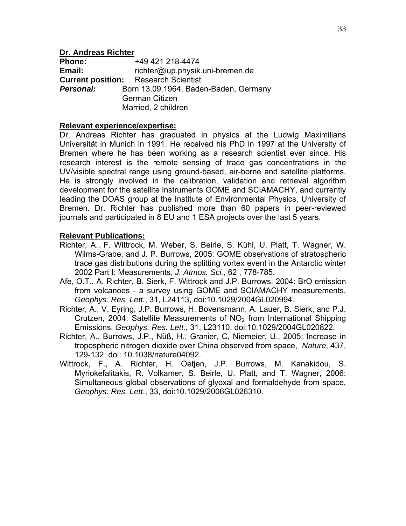#### **Dr. Andreas Richter**

**Phone:** +49 421 218-4474 **Email:** richter@iup.physik.uni-bremen.de **Current position:** Research Scientist **Personal:** Born 13.09.1964, Baden-Baden, Germany German Citizen Married, 2 children

#### **Relevant experience/expertise:**

Dr. Andreas Richter has graduated in physics at the Ludwig Maximilians Universität in Munich in 1991. He received his PhD in 1997 at the University of Bremen where he has been working as a research scientist ever since. His research interest is the remote sensing of trace gas concentrations in the UV/visible spectral range using ground-based, air-borne and satellite platforms. He is strongly involved in the calibration, validation and retrieval algorithm development for the satellite instruments GOME and SCIAMACHY, and currently leading the DOAS group at the Institute of Environmental Physics, University of Bremen. Dr. Richter has published more than 60 papers in peer-reviewed journals and participated in 8 EU and 1 ESA projects over the last 5 years.

- Richter, A., F. Wittrock, M. Weber, S. Beirle, S. Kühl, U. Platt, T. Wagner, W. Wilms-Grabe, and J. P. Burrows, 2005: GOME observations of stratospheric trace gas distributions during the splitting vortex event in the Antarctic winter 2002 Part I: Measurements, *J. Atmos. Sci.*, 62 , 778-785.
- Afe, O.T., A. Richter, B. Sierk, F. Wittrock and J.P. Burrows, 2004: BrO emission from volcanoes - a survey using GOME and SCIAMACHY measurements, *Geophys. Res. Lett.*, 31, L24113, doi:10.1029/2004GL020994.
- Richter, A., V. Eyring, J.P. Burrows, H. Bovensmann, A. Lauer, B. Sierk, and P.J. Crutzen, 2004: Satellite Measurements of  $NO<sub>2</sub>$  from International Shipping Emissions, *Geophys. Res. Lett.*, 31, L23110, doi:10.1029/2004GL020822.
- Richter, A., Burrows, J.P., Nüß, H., Granier, C, Niemeier, U., 2005: Increase in tropospheric nitrogen dioxide over China observed from space, *Nature*, 437, 129-132, doi: 10.1038/nature04092.
- Wittrock, F., A. Richter, H. Oetjen, J.P. Burrows, M. Kanakidou, S. Myriokefalitakis, R. Volkamer, S. Beirle, U. Platt, and T. Wagner, 2006: Simultaneous global observations of glyoxal and formaldehyde from space, *Geophys. Res. Lett*., 33, doi:10.1029/2006GL026310.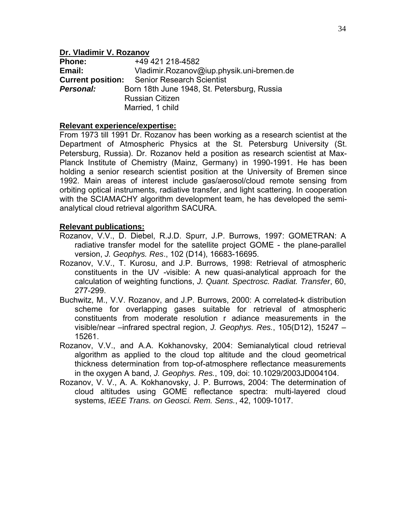#### **Dr. Vladimir V. Rozanov**

**Phone:** +49 421 218-4582 **Email:** [Vladimir.Rozanov@iup.physik.uni-bremen.de](mailto:Vladimir.Rozanov@iup.physik.uni-bremen.de)  **Current position:** Senior Research Scientist **Personal:** Born 18th June 1948, St. Petersburg, Russia Russian Citizen Married, 1 child

#### **Relevant experience/expertise:**

From 1973 till 1991 Dr. Rozanov has been working as a research scientist at the Department of Atmospheric Physics at the St. Petersburg University (St. Petersburg, Russia). Dr. Rozanov held a position as research scientist at Max-Planck Institute of Chemistry (Mainz, Germany) in 1990-1991. He has been holding a senior research scientist position at the University of Bremen since 1992. Main areas of interest include gas/aerosol/cloud remote sensing from orbiting optical instruments, radiative transfer, and light scattering. In cooperation with the SCIAMACHY algorithm development team, he has developed the semianalytical cloud retrieval algorithm SACURA.

- Rozanov, V.V., D. Diebel, R.J.D. Spurr, J.P. Burrows, 1997: GOMETRAN: A radiative transfer model for the satellite project GOME - the plane-parallel version, *J. Geophys. Res*., 102 (D14), 16683-16695.
- Rozanov, V.V., T. Kurosu, and J.P. Burrows, 1998: Retrieval of atmospheric constituents in the UV -visible: A new quasi-analytical approach for the calculation of weighting functions, *J. Quant. Spectrosc. Radiat. Transfer*, 60, 277-299.
- Buchwitz, M., V.V. Rozanov, and J.P. Burrows, 2000: A correlated-k distribution scheme for overlapping gases suitable for retrieval of atmospheric constituents from moderate resolution r adiance measurements in the visible/near –infrared spectral region, *J. Geophys. Res.*, 105(D12), 15247 – 15261.
- Rozanov, V.V., and A.A. Kokhanovsky, 2004: Semianalytical cloud retrieval algorithm as applied to the cloud top altitude and the cloud geometrical thickness determination from top-of-atmosphere reflectance measurements in the oxygen A band, *J. Geophys. Res.*, 109, doi: 10.1029/2003JD004104.
- Rozanov, V. V., A. A. Kokhanovsky, J. P. Burrows, 2004: The determination of cloud altitudes using GOME reflectance spectra: multi-layered cloud systems, *IEEE Trans. on Geosci. Rem. Sens.*, 42, 1009-1017.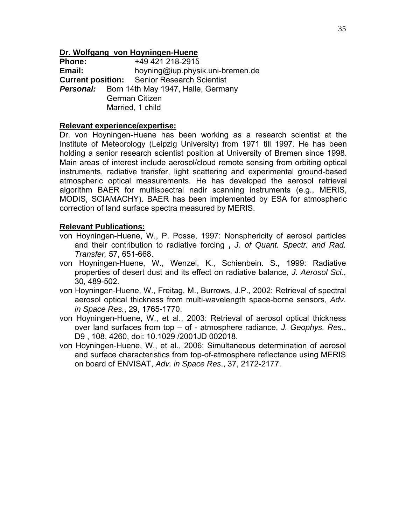#### **Dr. Wolfgang von Hoyningen-Huene**

**Phone:** +49 421 218-2915 **Email:** hoyning@iup.physik.uni-bremen.de **Current position:** Senior Research Scientist **Personal:** Born 14th May 1947, Halle, Germany German Citizen Married, 1 child

#### **Relevant experience/expertise:**

Dr. von Hoyningen-Huene has been working as a research scientist at the Institute of Meteorology (Leipzig University) from 1971 till 1997. He has been holding a senior research scientist position at University of Bremen since 1998. Main areas of interest include aerosol/cloud remote sensing from orbiting optical instruments, radiative transfer, light scattering and experimental ground-based atmospheric optical measurements. He has developed the aerosol retrieval algorithm BAER for multispectral nadir scanning instruments (e.g., MERIS, MODIS, SCIAMACHY). BAER has been implemented by ESA for atmospheric correction of land surface spectra measured by MERIS.

- von Hoyningen-Huene, W., P. Posse, 1997: Nonsphericity of aerosol particles and their contribution to radiative forcing **,** *J. of Quant. Spectr. and Rad. Transfer,* 57, 651-668.
- von Hoyningen-Huene, W., Wenzel, K., Schienbein. S., 1999: Radiative properties of desert dust and its effect on radiative balance, *J. Aerosol Sci.*, 30, 489-502.
- von Hoyningen-Huene, W., Freitag, M., Burrows, J.P., 2002: Retrieval of spectral aerosol optical thickness from multi-wavelength space-borne sensors, *Adv. in Space Res.*, 29, 1765-1770.
- von Hoyningen-Huene, W., et al., 2003: Retrieval of aerosol optical thickness over land surfaces from top – of - atmosphere radiance, *J. Geophys. Res.*, D9 , 108, 4260, doi: 10.1029 /2001JD 002018.
- von Hoyningen-Huene, W., et al., 2006: Simultaneous determination of aerosol and surface characteristics from top-of-atmosphere reflectance using MERIS on board of ENVISAT, *Adv. in Space Res*., 37, 2172-2177.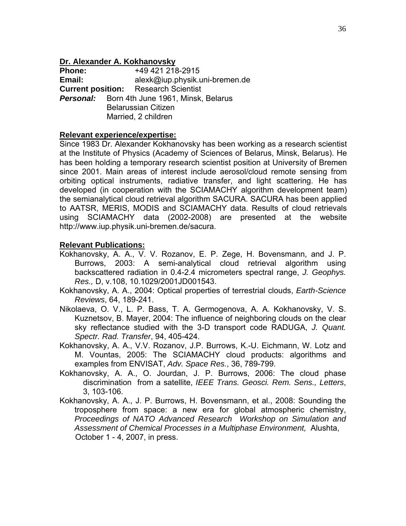#### **Dr. Alexander A. Kokhanovsky**

**Phone:** +49 421 218-2915 **Email:** alexk@iup.physik.uni-bremen.de **Current position:** Research Scientist **Personal:** Born 4th June 1961, Minsk, Belarus Belarussian Citizen Married, 2 children

#### **Relevant experience/expertise:**

Since 1983 Dr. Alexander Kokhanovsky has been working as a research scientist at the Institute of Physics (Academy of Sciences of Belarus, Minsk, Belarus). He has been holding a temporary research scientist position at University of Bremen since 2001. Main areas of interest include aerosol/cloud remote sensing from orbiting optical instruments, radiative transfer, and light scattering. He has developed (in cooperation with the SCIAMACHY algorithm development team) the semianalytical cloud retrieval algorithm SACURA. SACURA has been applied to AATSR, MERIS, MODIS and SCIAMACHY data. Results of cloud retrievals using SCIAMACHY data (2002-2008) are presented at the website http://www.iup.physik.uni-bremen.de/sacura.

- Kokhanovsky, A. A., V. V. Rozanov, E. P. Zege, H. Bovensmann, and J. P. Burrows, 2003: A semi-analytical cloud retrieval algorithm using backscattered radiation in 0.4-2.4 micrometers spectral range, *J. Geophys. Res.,* D, v.108, 10.1029/2001JD001543.
- Kokhanovsky, A. A., 2004: Optical properties of terrestrial clouds, *Earth-Science Reviews*, 64, 189-241.
- Nikolaeva, O. V., L. P. Bass, T. A. Germogenova, A. A. Kokhanovsky, V. S. Kuznetsov, B. Mayer, 2004: The influence of neighboring clouds on the clear sky reflectance studied with the 3-D transport code RADUGA, *J. Quant. Spectr. Rad. Transfer*, 94, 405-424.
- Kokhanovsky, A. A., V.V. Rozanov, J.P. Burrows, K.-U. Eichmann, W. Lotz and M. Vountas, 2005: The SCIAMACHY cloud products: algorithms and examples from ENVISAT, *Adv. Space Res.*, 36, 789-799.
- Kokhanovsky, A. A., O. Jourdan, J. P. Burrows, 2006: The cloud phase discrimination from a satellite, *IEEE Trans. Geosci. Rem. Sens., Letters*, 3, 103-106.
- Kokhanovsky, A. A., J. P. Burrows, H. Bovensmann, et al., 2008: Sounding the troposphere from space: a new era for global atmospheric chemistry, *Proceedings of NATO Advanced Research Workshop on Simulation and Assessment of Chemical Processes in a Multiphase Environment,* Alushta, October 1 - 4, 2007, in press.